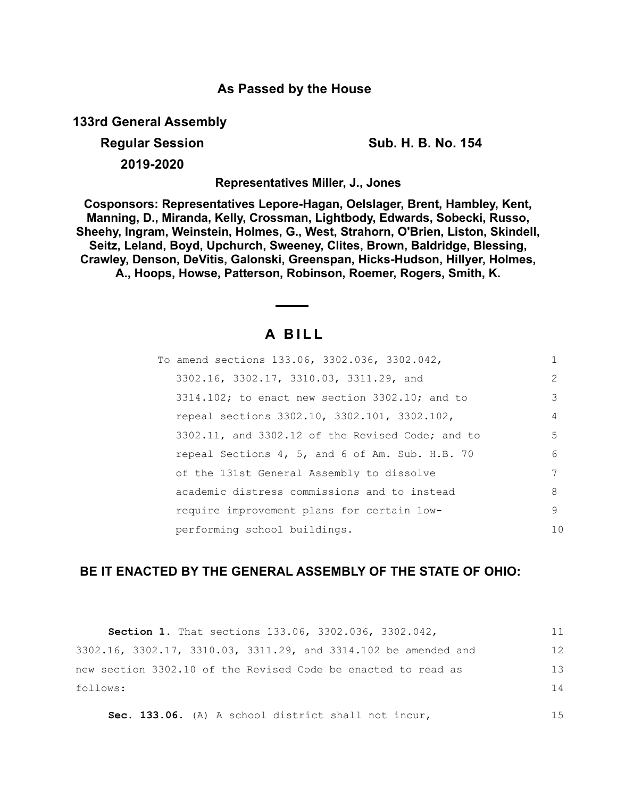# **As Passed by the House**

**133rd General Assembly**

**Regular Session Sub. H. B. No. 154**

**2019-2020**

**Representatives Miller, J., Jones**

**Cosponsors: Representatives Lepore-Hagan, Oelslager, Brent, Hambley, Kent, Manning, D., Miranda, Kelly, Crossman, Lightbody, Edwards, Sobecki, Russo, Sheehy, Ingram, Weinstein, Holmes, G., West, Strahorn, O'Brien, Liston, Skindell, Seitz, Leland, Boyd, Upchurch, Sweeney, Clites, Brown, Baldridge, Blessing, Crawley, Denson, DeVitis, Galonski, Greenspan, Hicks-Hudson, Hillyer, Holmes, A., Hoops, Howse, Patterson, Robinson, Roemer, Rogers, Smith, K.**

# **A B I L L**

| To amend sections 133.06, 3302.036, 3302.042,         |               |
|-------------------------------------------------------|---------------|
| 3302.16, 3302.17, 3310.03, 3311.29, and               | $\mathcal{L}$ |
| $3314.102$ ; to enact new section $3302.10$ ; and to  | 3             |
| repeal sections 3302.10, 3302.101, 3302.102,          | 4             |
| $3302.11$ , and $3302.12$ of the Revised Code; and to | 5             |
| repeal Sections 4, 5, and 6 of Am. Sub. H.B. 70       | 6             |
| of the 131st General Assembly to dissolve             | 7             |
| academic distress commissions and to instead          | 8             |
| require improvement plans for certain low-            | 9             |
| performing school buildings.                          | 10            |

# **BE IT ENACTED BY THE GENERAL ASSEMBLY OF THE STATE OF OHIO:**

| <b>Section 1.</b> That sections 133.06, 3302.036, 3302.042,     | 11  |
|-----------------------------------------------------------------|-----|
| 3302.16, 3302.17, 3310.03, 3311.29, and 3314.102 be amended and | 12  |
| new section 3302.10 of the Revised Code be enacted to read as   | 13  |
| follows:                                                        | 14  |
| Sec. 133.06. (A) A school district shall not incur,             | 1.5 |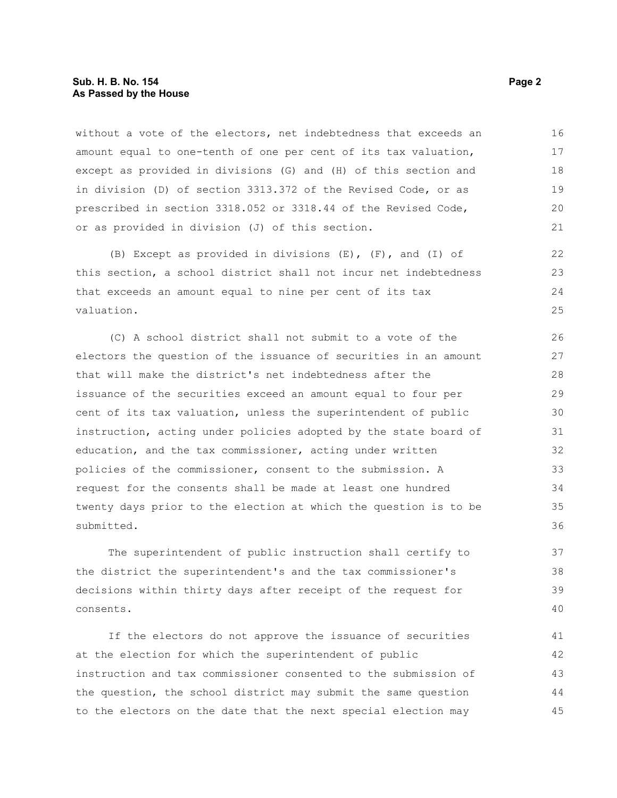#### **Sub. H. B. No. 154 Page 2 As Passed by the House**

without a vote of the electors, net indebtedness that exceeds an amount equal to one-tenth of one per cent of its tax valuation, except as provided in divisions (G) and (H) of this section and in division (D) of section 3313.372 of the Revised Code, or as prescribed in section 3318.052 or 3318.44 of the Revised Code, or as provided in division (J) of this section. 16 17 18 19  $20$ 21

(B) Except as provided in divisions  $(E)$ ,  $(F)$ , and  $(I)$  of this section, a school district shall not incur net indebtedness that exceeds an amount equal to nine per cent of its tax valuation.

(C) A school district shall not submit to a vote of the electors the question of the issuance of securities in an amount that will make the district's net indebtedness after the issuance of the securities exceed an amount equal to four per cent of its tax valuation, unless the superintendent of public instruction, acting under policies adopted by the state board of education, and the tax commissioner, acting under written policies of the commissioner, consent to the submission. A request for the consents shall be made at least one hundred twenty days prior to the election at which the question is to be submitted.

The superintendent of public instruction shall certify to the district the superintendent's and the tax commissioner's decisions within thirty days after receipt of the request for consents.

If the electors do not approve the issuance of securities at the election for which the superintendent of public instruction and tax commissioner consented to the submission of the question, the school district may submit the same question to the electors on the date that the next special election may 41 42 43 44 45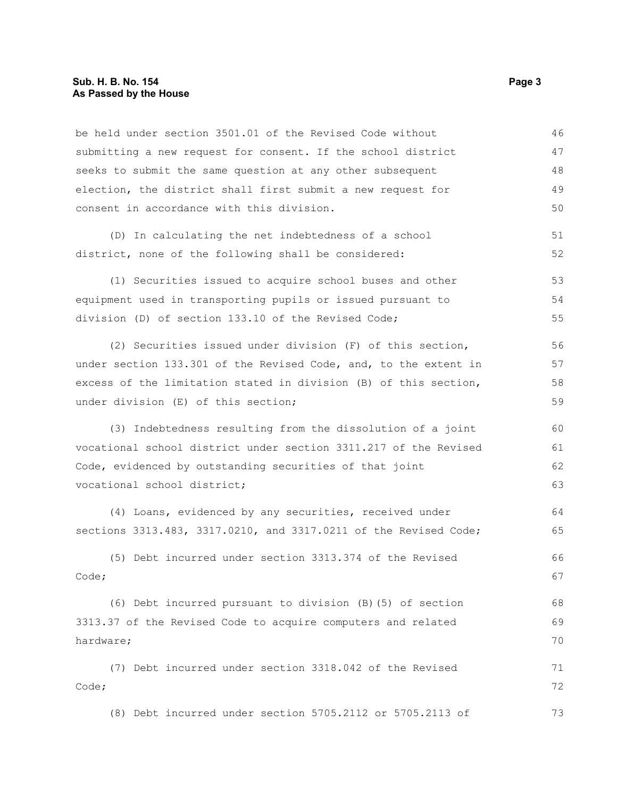#### **Sub. H. B. No. 154 Page 3 As Passed by the House**

be held under section 3501.01 of the Revised Code without submitting a new request for consent. If the school district seeks to submit the same question at any other subsequent election, the district shall first submit a new request for consent in accordance with this division. (D) In calculating the net indebtedness of a school district, none of the following shall be considered: (1) Securities issued to acquire school buses and other equipment used in transporting pupils or issued pursuant to division (D) of section 133.10 of the Revised Code; (2) Securities issued under division (F) of this section, under section 133.301 of the Revised Code, and, to the extent in excess of the limitation stated in division (B) of this section, under division (E) of this section; (3) Indebtedness resulting from the dissolution of a joint vocational school district under section 3311.217 of the Revised Code, evidenced by outstanding securities of that joint vocational school district; (4) Loans, evidenced by any securities, received under sections 3313.483, 3317.0210, and 3317.0211 of the Revised Code; (5) Debt incurred under section 3313.374 of the Revised Code; (6) Debt incurred pursuant to division (B)(5) of section 3313.37 of the Revised Code to acquire computers and related hardware; (7) Debt incurred under section 3318.042 of the Revised Code; 46 47 48 49 50 51 52 53 54 55 56 57 58 59 60 61 62 63 64 65 66 67 68 69 70 71 72

(8) Debt incurred under section 5705.2112 or 5705.2113 of 73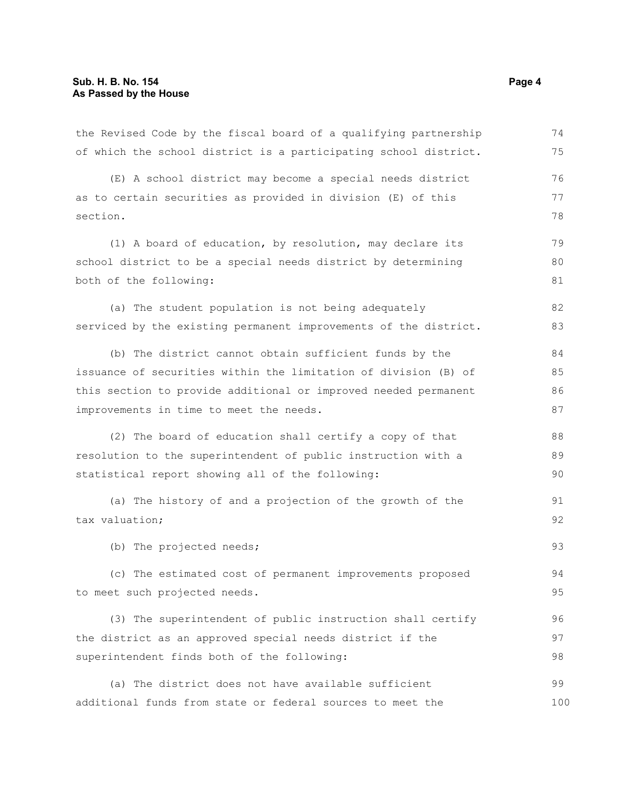| the Revised Code by the fiscal board of a qualifying partnership | 74  |
|------------------------------------------------------------------|-----|
| of which the school district is a participating school district. | 75  |
| (E) A school district may become a special needs district        | 76  |
| as to certain securities as provided in division (E) of this     | 77  |
| section.                                                         | 78  |
| (1) A board of education, by resolution, may declare its         | 79  |
| school district to be a special needs district by determining    | 80  |
| both of the following:                                           | 81  |
| (a) The student population is not being adequately               | 82  |
| serviced by the existing permanent improvements of the district. | 83  |
| (b) The district cannot obtain sufficient funds by the           | 84  |
| issuance of securities within the limitation of division (B) of  | 85  |
| this section to provide additional or improved needed permanent  | 86  |
| improvements in time to meet the needs.                          | 87  |
| (2) The board of education shall certify a copy of that          | 88  |
| resolution to the superintendent of public instruction with a    | 89  |
| statistical report showing all of the following:                 | 90  |
| (a) The history of and a projection of the growth of the         | 91  |
| tax valuation;                                                   | 92  |
| (b) The projected needs;                                         | 93  |
| (c) The estimated cost of permanent improvements proposed        | 94  |
| to meet such projected needs.                                    | 95  |
| (3) The superintendent of public instruction shall certify       | 96  |
| the district as an approved special needs district if the        | 97  |
| superintendent finds both of the following:                      | 98  |
| (a) The district does not have available sufficient              | 99  |
| additional funds from state or federal sources to meet the       | 100 |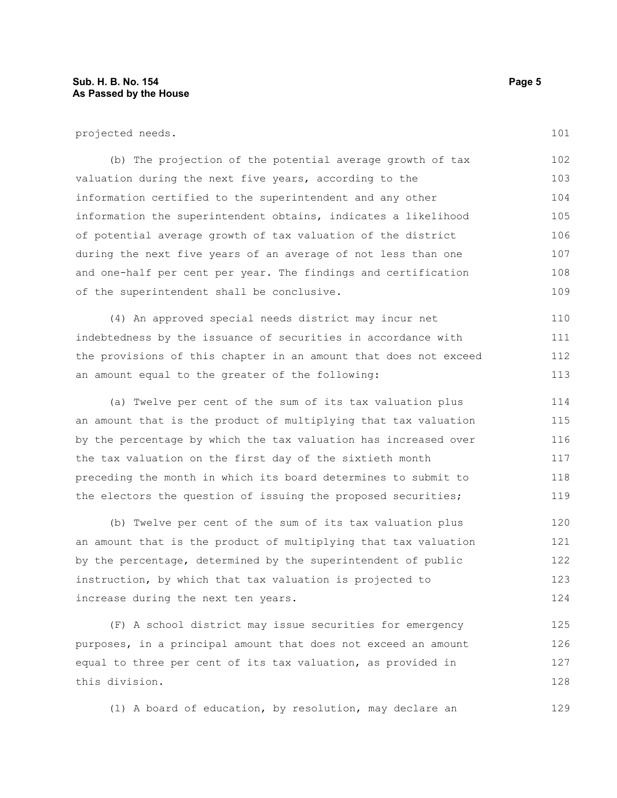projected needs.

(b) The projection of the potential average growth of tax valuation during the next five years, according to the information certified to the superintendent and any other information the superintendent obtains, indicates a likelihood of potential average growth of tax valuation of the district during the next five years of an average of not less than one and one-half per cent per year. The findings and certification of the superintendent shall be conclusive. 102 103 104 105 106 107 108 109

(4) An approved special needs district may incur net indebtedness by the issuance of securities in accordance with the provisions of this chapter in an amount that does not exceed an amount equal to the greater of the following: 110 111 112 113

(a) Twelve per cent of the sum of its tax valuation plus an amount that is the product of multiplying that tax valuation by the percentage by which the tax valuation has increased over the tax valuation on the first day of the sixtieth month preceding the month in which its board determines to submit to the electors the question of issuing the proposed securities; 114 115 116 117 118 119

(b) Twelve per cent of the sum of its tax valuation plus an amount that is the product of multiplying that tax valuation by the percentage, determined by the superintendent of public instruction, by which that tax valuation is projected to increase during the next ten years. 120 121 122 123 124

(F) A school district may issue securities for emergency purposes, in a principal amount that does not exceed an amount equal to three per cent of its tax valuation, as provided in this division. 125 126 127 128

(1) A board of education, by resolution, may declare an

101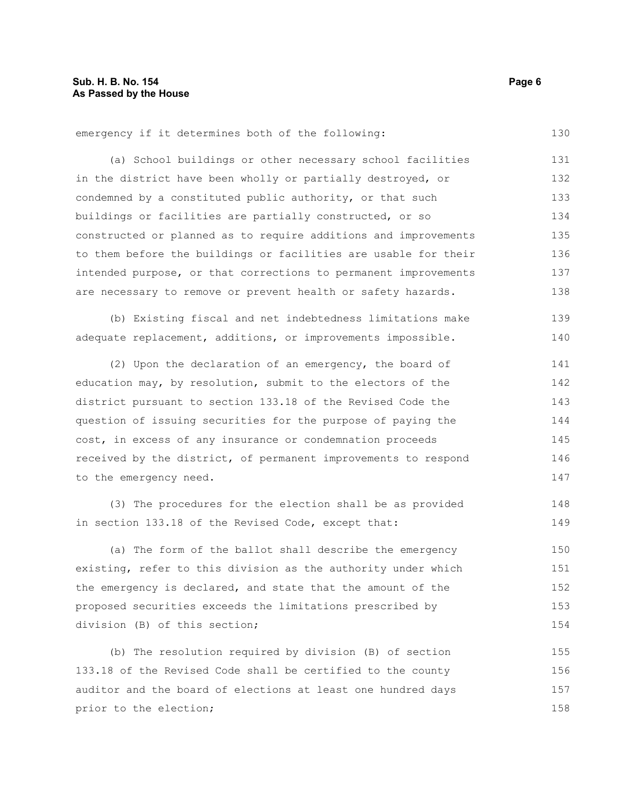emergency if it determines both of the following:

(a) School buildings or other necessary school facilities in the district have been wholly or partially destroyed, or condemned by a constituted public authority, or that such buildings or facilities are partially constructed, or so constructed or planned as to require additions and improvements to them before the buildings or facilities are usable for their intended purpose, or that corrections to permanent improvements are necessary to remove or prevent health or safety hazards. 131 132 133 134 135 136 137 138

(b) Existing fiscal and net indebtedness limitations make adequate replacement, additions, or improvements impossible. 139 140

(2) Upon the declaration of an emergency, the board of education may, by resolution, submit to the electors of the district pursuant to section 133.18 of the Revised Code the question of issuing securities for the purpose of paying the cost, in excess of any insurance or condemnation proceeds received by the district, of permanent improvements to respond to the emergency need. 141 142 143 144 145 146 147

(3) The procedures for the election shall be as provided in section 133.18 of the Revised Code, except that:

(a) The form of the ballot shall describe the emergency existing, refer to this division as the authority under which the emergency is declared, and state that the amount of the proposed securities exceeds the limitations prescribed by division (B) of this section;

(b) The resolution required by division (B) of section 133.18 of the Revised Code shall be certified to the county auditor and the board of elections at least one hundred days prior to the election; 155 156 157 158

130

148 149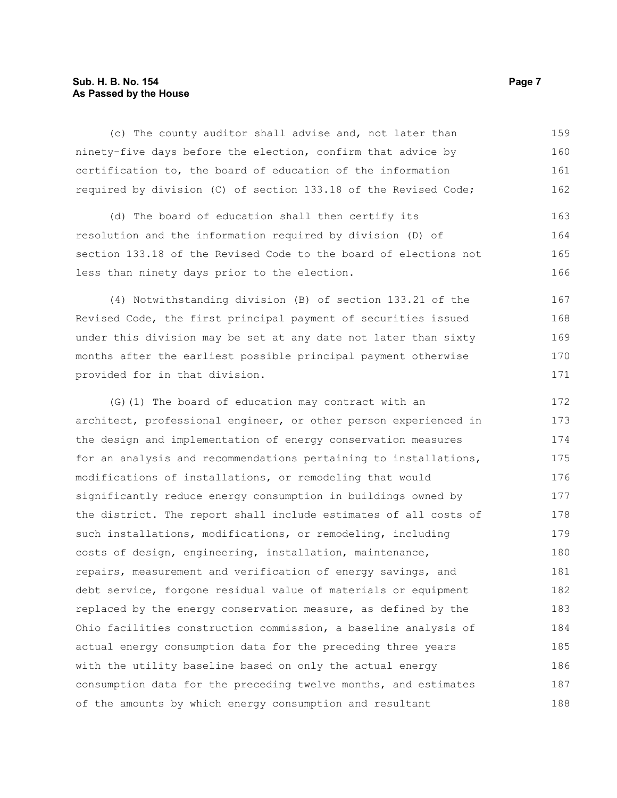# **Sub. H. B. No. 154 Page 7 As Passed by the House**

(c) The county auditor shall advise and, not later than ninety-five days before the election, confirm that advice by certification to, the board of education of the information required by division (C) of section 133.18 of the Revised Code; 159 160 161 162

(d) The board of education shall then certify its resolution and the information required by division (D) of section 133.18 of the Revised Code to the board of elections not less than ninety days prior to the election.

(4) Notwithstanding division (B) of section 133.21 of the Revised Code, the first principal payment of securities issued under this division may be set at any date not later than sixty months after the earliest possible principal payment otherwise provided for in that division.

(G)(1) The board of education may contract with an architect, professional engineer, or other person experienced in the design and implementation of energy conservation measures for an analysis and recommendations pertaining to installations, modifications of installations, or remodeling that would significantly reduce energy consumption in buildings owned by the district. The report shall include estimates of all costs of such installations, modifications, or remodeling, including costs of design, engineering, installation, maintenance, repairs, measurement and verification of energy savings, and debt service, forgone residual value of materials or equipment replaced by the energy conservation measure, as defined by the Ohio facilities construction commission, a baseline analysis of actual energy consumption data for the preceding three years with the utility baseline based on only the actual energy consumption data for the preceding twelve months, and estimates of the amounts by which energy consumption and resultant 172 173 174 175 176 177 178 179 180 181 182 183 184 185 186 187 188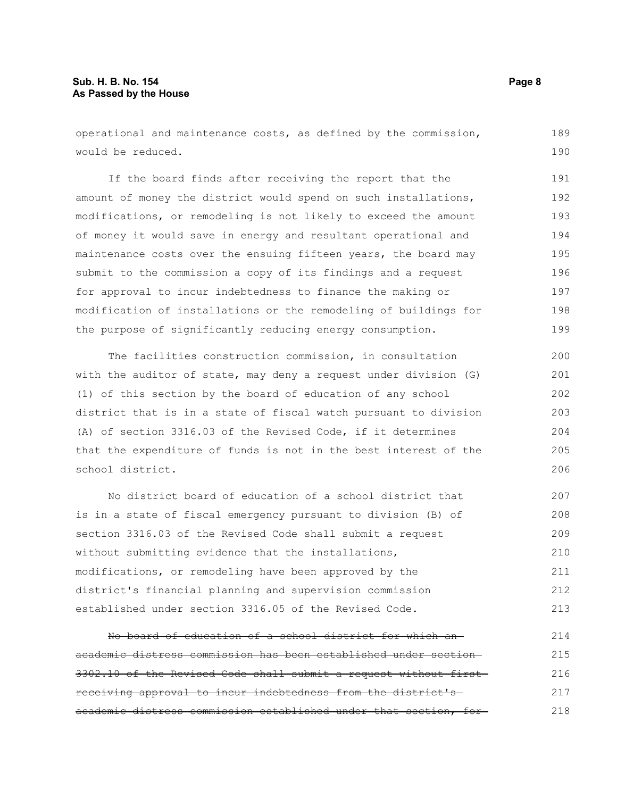# **Sub. H. B. No. 154 Page 8 As Passed by the House**

operational and maintenance costs, as defined by the commission, would be reduced.

If the board finds after receiving the report that the amount of money the district would spend on such installations, modifications, or remodeling is not likely to exceed the amount of money it would save in energy and resultant operational and maintenance costs over the ensuing fifteen years, the board may submit to the commission a copy of its findings and a request for approval to incur indebtedness to finance the making or modification of installations or the remodeling of buildings for the purpose of significantly reducing energy consumption. 191 192 193 194 195 196 197 198 199

The facilities construction commission, in consultation with the auditor of state, may deny a request under division (G) (1) of this section by the board of education of any school district that is in a state of fiscal watch pursuant to division (A) of section 3316.03 of the Revised Code, if it determines that the expenditure of funds is not in the best interest of the school district. 200 201 202 203 204 205

No district board of education of a school district that is in a state of fiscal emergency pursuant to division (B) of section 3316.03 of the Revised Code shall submit a request without submitting evidence that the installations, modifications, or remodeling have been approved by the district's financial planning and supervision commission established under section 3316.05 of the Revised Code. 207 208 209 210 211 212 213

No board of education of a school district for which an academic distress commission has been established under section 3302.10 of the Revised Code shall submit a request without first receiving approval to incur indebtedness from the district's academic distress commission established under that section, for 214 215 216 217 218

189 190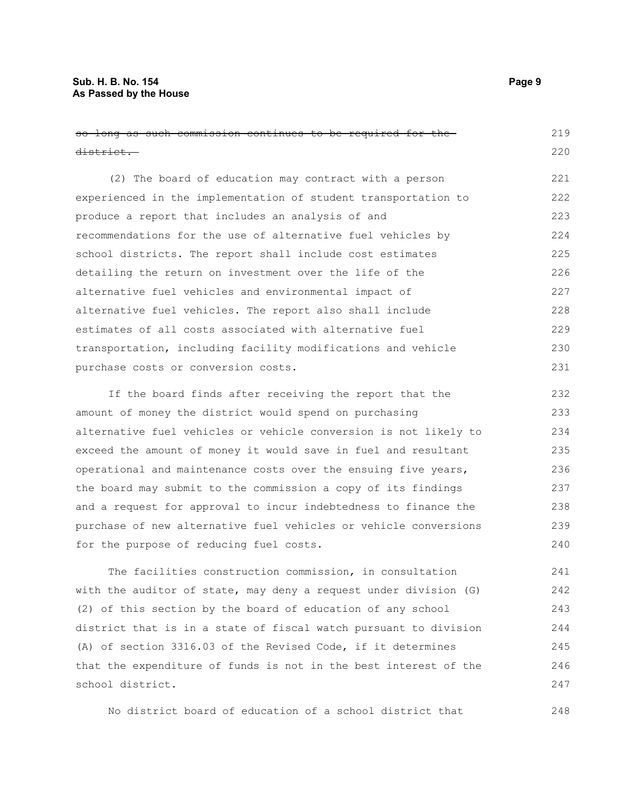school district.

| so long as such commission continues to be required for the-     | 219 |
|------------------------------------------------------------------|-----|
| <del>district.</del>                                             | 220 |
| (2) The board of education may contract with a person            | 221 |
| experienced in the implementation of student transportation to   | 222 |
| produce a report that includes an analysis of and                | 223 |
| recommendations for the use of alternative fuel vehicles by      | 224 |
| school districts. The report shall include cost estimates        | 225 |
| detailing the return on investment over the life of the          | 226 |
| alternative fuel vehicles and environmental impact of            | 227 |
| alternative fuel vehicles. The report also shall include         | 228 |
| estimates of all costs associated with alternative fuel          | 229 |
| transportation, including facility modifications and vehicle     | 230 |
| purchase costs or conversion costs.                              | 231 |
| If the board finds after receiving the report that the           | 232 |
| amount of money the district would spend on purchasing           | 233 |
| alternative fuel vehicles or vehicle conversion is not likely to | 234 |
| exceed the amount of money it would save in fuel and resultant   | 235 |
| operational and maintenance costs over the ensuing five years,   | 236 |
| the board may submit to the commission a copy of its findings    | 237 |
| and a request for approval to incur indebtedness to finance the  | 238 |
| purchase of new alternative fuel vehicles or vehicle conversions | 239 |
| for the purpose of reducing fuel costs.                          | 240 |
| The facilities construction commission, in consultation          | 241 |
| with the auditor of state, may deny a request under division (G) | 242 |
| (2) of this section by the board of education of any school      | 243 |
| district that is in a state of fiscal watch pursuant to division | 244 |
| (A) of section 3316.03 of the Revised Code, if it determines     | 245 |
| that the expenditure of funds is not in the best interest of the | 246 |

No district board of education of a school district that

247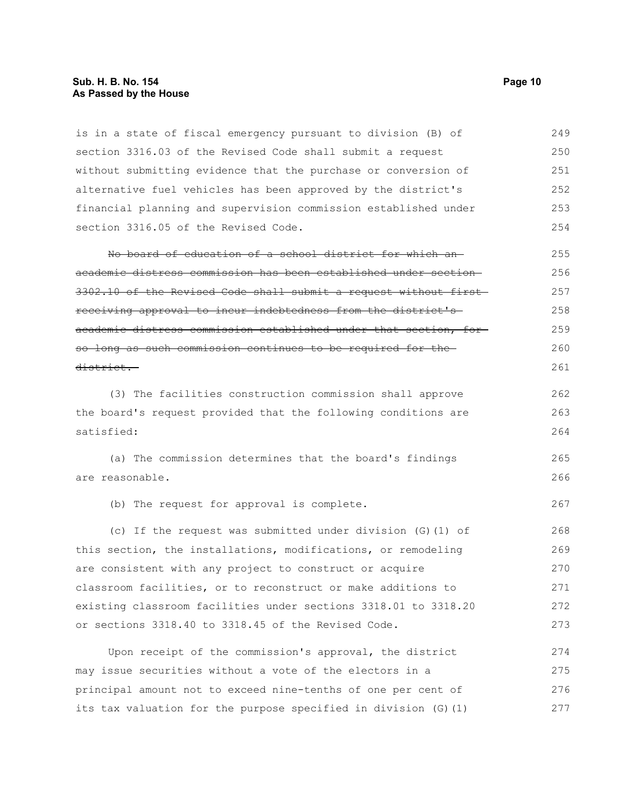#### **Sub. H. B. No. 154 Page 10 As Passed by the House**

is in a state of fiscal emergency pursuant to division (B) of section 3316.03 of the Revised Code shall submit a request without submitting evidence that the purchase or conversion of alternative fuel vehicles has been approved by the district's financial planning and supervision commission established under section 3316.05 of the Revised Code. 249 250 251 252 253 254

No board of education of a school district for which an academic distress commission has been established under section 3302.10 of the Revised Code shall submit a request without first receiving approval to incur indebtedness from the district's academic distress commission established under that section, for so long as such commission continues to be required for the district. 255 256 257 258 259 260 261

(3) The facilities construction commission shall approve the board's request provided that the following conditions are satisfied: 262 263 264

(a) The commission determines that the board's findings are reasonable. 265 266

(b) The request for approval is complete.

(c) If the request was submitted under division (G)(1) of this section, the installations, modifications, or remodeling are consistent with any project to construct or acquire classroom facilities, or to reconstruct or make additions to existing classroom facilities under sections 3318.01 to 3318.20 or sections 3318.40 to 3318.45 of the Revised Code. 268 269 270 271 272 273

Upon receipt of the commission's approval, the district may issue securities without a vote of the electors in a principal amount not to exceed nine-tenths of one per cent of its tax valuation for the purpose specified in division (G)(1) 274 275 276 277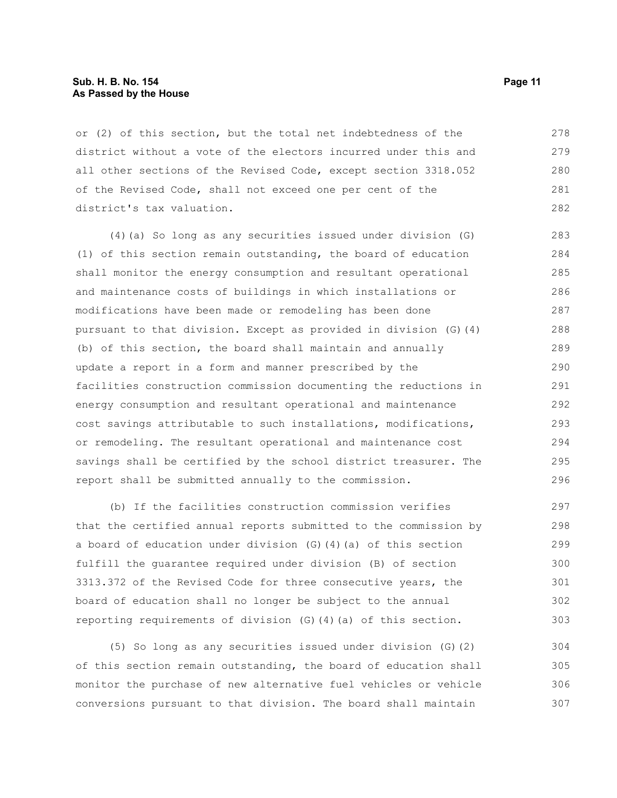#### **Sub. H. B. No. 154 Page 11 As Passed by the House**

or (2) of this section, but the total net indebtedness of the district without a vote of the electors incurred under this and all other sections of the Revised Code, except section 3318.052 of the Revised Code, shall not exceed one per cent of the district's tax valuation. 278 279 280 281 282

(4)(a) So long as any securities issued under division (G) (1) of this section remain outstanding, the board of education shall monitor the energy consumption and resultant operational and maintenance costs of buildings in which installations or modifications have been made or remodeling has been done pursuant to that division. Except as provided in division (G)(4) (b) of this section, the board shall maintain and annually update a report in a form and manner prescribed by the facilities construction commission documenting the reductions in energy consumption and resultant operational and maintenance cost savings attributable to such installations, modifications, or remodeling. The resultant operational and maintenance cost savings shall be certified by the school district treasurer. The report shall be submitted annually to the commission. 283 284 285 286 287 288 289 290 291 292 293 294 295 296

(b) If the facilities construction commission verifies that the certified annual reports submitted to the commission by a board of education under division (G)(4)(a) of this section fulfill the guarantee required under division (B) of section 3313.372 of the Revised Code for three consecutive years, the board of education shall no longer be subject to the annual reporting requirements of division (G)(4)(a) of this section. 297 298 299 300 301 302 303

(5) So long as any securities issued under division (G)(2) of this section remain outstanding, the board of education shall monitor the purchase of new alternative fuel vehicles or vehicle conversions pursuant to that division. The board shall maintain 304 305 306 307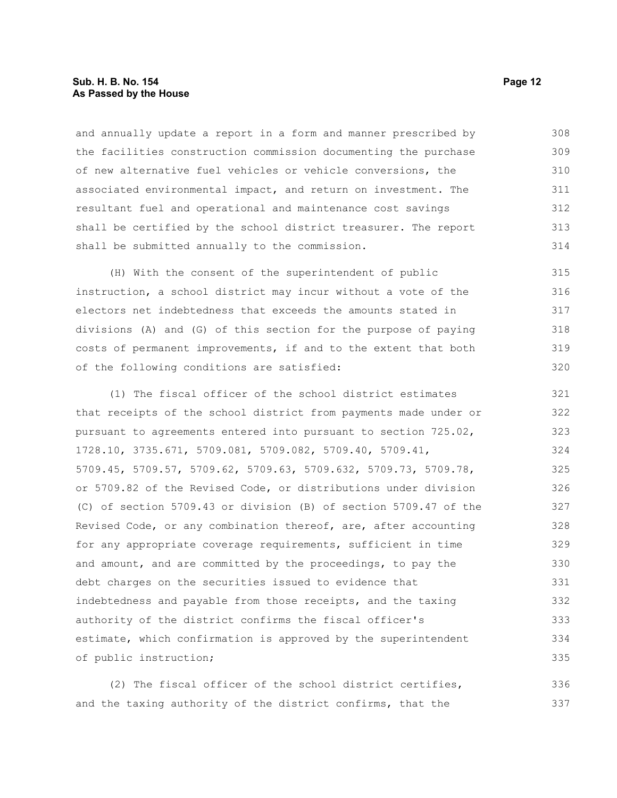#### **Sub. H. B. No. 154 Page 12 As Passed by the House**

and annually update a report in a form and manner prescribed by the facilities construction commission documenting the purchase of new alternative fuel vehicles or vehicle conversions, the associated environmental impact, and return on investment. The resultant fuel and operational and maintenance cost savings shall be certified by the school district treasurer. The report shall be submitted annually to the commission. 308 309 310 311 312 313 314

(H) With the consent of the superintendent of public instruction, a school district may incur without a vote of the electors net indebtedness that exceeds the amounts stated in divisions (A) and (G) of this section for the purpose of paying costs of permanent improvements, if and to the extent that both of the following conditions are satisfied: 315 316 317 318 319 320

(1) The fiscal officer of the school district estimates that receipts of the school district from payments made under or pursuant to agreements entered into pursuant to section 725.02, 1728.10, 3735.671, 5709.081, 5709.082, 5709.40, 5709.41, 5709.45, 5709.57, 5709.62, 5709.63, 5709.632, 5709.73, 5709.78, or 5709.82 of the Revised Code, or distributions under division (C) of section 5709.43 or division (B) of section 5709.47 of the Revised Code, or any combination thereof, are, after accounting for any appropriate coverage requirements, sufficient in time and amount, and are committed by the proceedings, to pay the debt charges on the securities issued to evidence that indebtedness and payable from those receipts, and the taxing authority of the district confirms the fiscal officer's estimate, which confirmation is approved by the superintendent of public instruction; 321 322 323 324 325 326 327 328 329 330 331 332 333 334 335

(2) The fiscal officer of the school district certifies, and the taxing authority of the district confirms, that the 336 337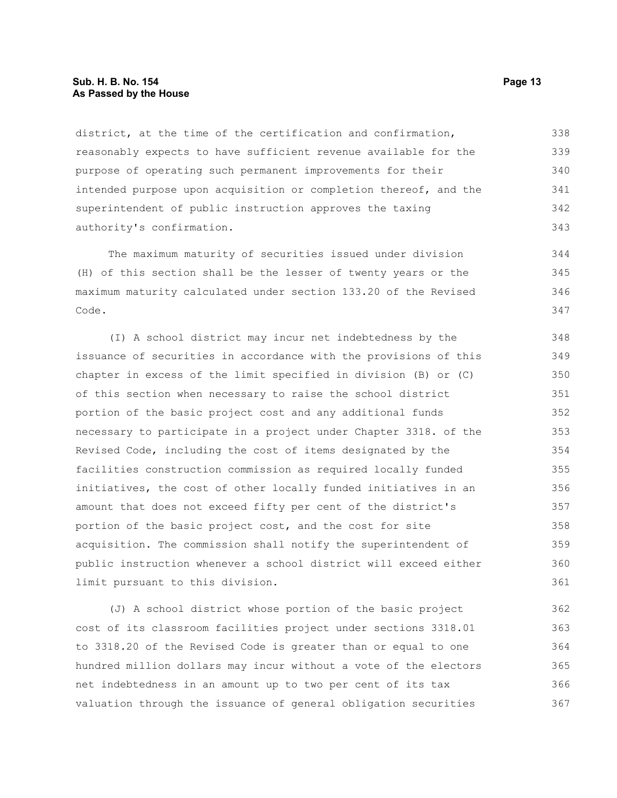#### **Sub. H. B. No. 154 Page 13 As Passed by the House**

district, at the time of the certification and confirmation, reasonably expects to have sufficient revenue available for the purpose of operating such permanent improvements for their intended purpose upon acquisition or completion thereof, and the superintendent of public instruction approves the taxing authority's confirmation. 338 339 340 341 342 343

The maximum maturity of securities issued under division (H) of this section shall be the lesser of twenty years or the maximum maturity calculated under section 133.20 of the Revised Code. 344 345 346 347

(I) A school district may incur net indebtedness by the issuance of securities in accordance with the provisions of this chapter in excess of the limit specified in division (B) or (C) of this section when necessary to raise the school district portion of the basic project cost and any additional funds necessary to participate in a project under Chapter 3318. of the Revised Code, including the cost of items designated by the facilities construction commission as required locally funded initiatives, the cost of other locally funded initiatives in an amount that does not exceed fifty per cent of the district's portion of the basic project cost, and the cost for site acquisition. The commission shall notify the superintendent of public instruction whenever a school district will exceed either limit pursuant to this division. 348 349 350 351 352 353 354 355 356 357 358 359 360 361

(J) A school district whose portion of the basic project cost of its classroom facilities project under sections 3318.01 to 3318.20 of the Revised Code is greater than or equal to one hundred million dollars may incur without a vote of the electors net indebtedness in an amount up to two per cent of its tax valuation through the issuance of general obligation securities 362 363 364 365 366 367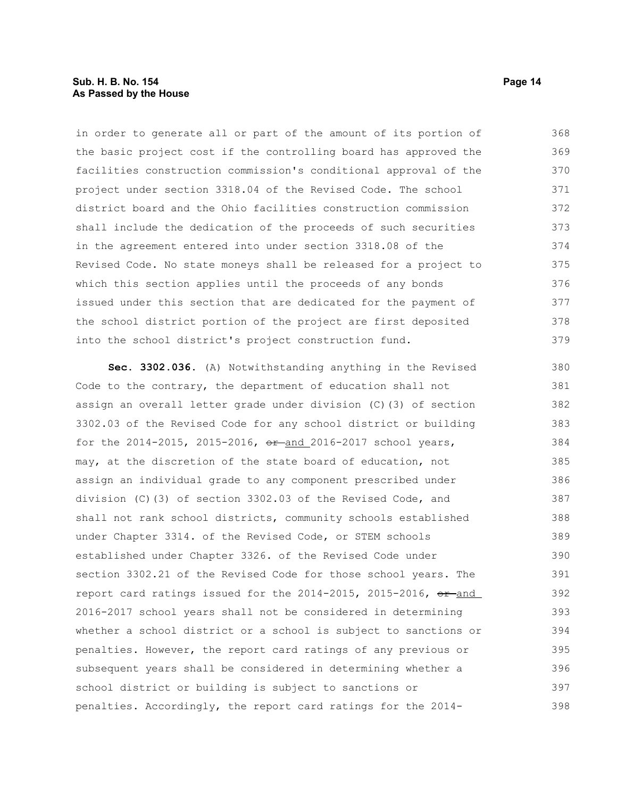### **Sub. H. B. No. 154 Page 14 As Passed by the House**

in order to generate all or part of the amount of its portion of the basic project cost if the controlling board has approved the facilities construction commission's conditional approval of the project under section 3318.04 of the Revised Code. The school district board and the Ohio facilities construction commission shall include the dedication of the proceeds of such securities in the agreement entered into under section 3318.08 of the Revised Code. No state moneys shall be released for a project to which this section applies until the proceeds of any bonds issued under this section that are dedicated for the payment of the school district portion of the project are first deposited into the school district's project construction fund. 368 369 370 371 372 373 374 375 376 377 378 379

**Sec. 3302.036.** (A) Notwithstanding anything in the Revised Code to the contrary, the department of education shall not assign an overall letter grade under division (C)(3) of section 3302.03 of the Revised Code for any school district or building for the  $2014 - 2015$ ,  $2015 - 2016$ ,  $e + \text{and } 2016 - 2017$  school years, may, at the discretion of the state board of education, not assign an individual grade to any component prescribed under division (C)(3) of section 3302.03 of the Revised Code, and shall not rank school districts, community schools established under Chapter 3314. of the Revised Code, or STEM schools established under Chapter 3326. of the Revised Code under section 3302.21 of the Revised Code for those school years. The report card ratings issued for the  $2014-2015$ ,  $2015-2016$ ,  $e^{2}$  and 2016-2017 school years shall not be considered in determining whether a school district or a school is subject to sanctions or penalties. However, the report card ratings of any previous or subsequent years shall be considered in determining whether a school district or building is subject to sanctions or penalties. Accordingly, the report card ratings for the 2014- 380 381 382 383 384 385 386 387 388 389 390 391 392 393 394 395 396 397 398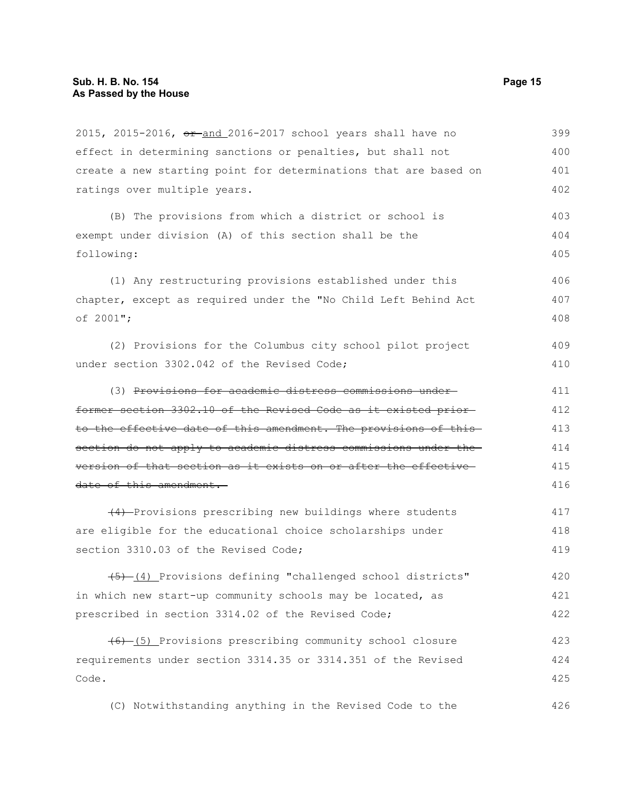2015, 2015-2016, or and 2016-2017 school years shall have no effect in determining sanctions or penalties, but shall not create a new starting point for determinations that are based on ratings over multiple years. (B) The provisions from which a district or school is exempt under division (A) of this section shall be the following: (1) Any restructuring provisions established under this chapter, except as required under the "No Child Left Behind Act of 2001"; (2) Provisions for the Columbus city school pilot project under section 3302.042 of the Revised Code; (3) Provisions for academic distress commissions under former section 3302.10 of the Revised Code as it existed prior to the effective date of this amendment. The provisions of this section do not apply to academic distress commissions under the version of that section as it exists on or after the effective date of this amendment. (4) Provisions prescribing new buildings where students are eligible for the educational choice scholarships under section 3310.03 of the Revised Code; (5) (4) Provisions defining "challenged school districts" in which new start-up community schools may be located, as prescribed in section 3314.02 of the Revised Code; (6) (5) Provisions prescribing community school closure requirements under section 3314.35 or 3314.351 of the Revised Code. 399 400 401 402 403 404 405 406 407 408 409 410 411 412 413 414 415 416 417 418 419 420 421 422 423 424 425

(C) Notwithstanding anything in the Revised Code to the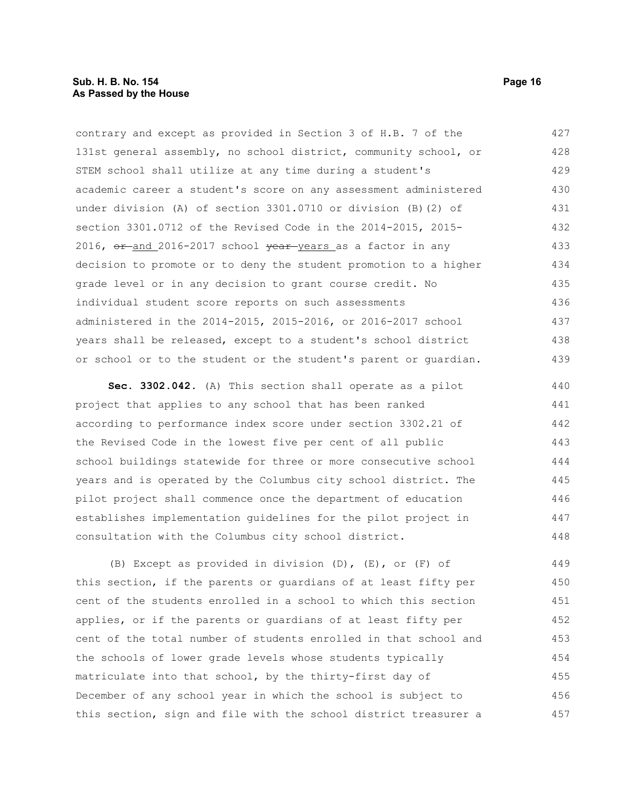contrary and except as provided in Section 3 of H.B. 7 of the 131st general assembly, no school district, community school, or STEM school shall utilize at any time during a student's academic career a student's score on any assessment administered under division (A) of section 3301.0710 or division (B)(2) of section 3301.0712 of the Revised Code in the 2014-2015, 2015- 2016,  $\sigma$  and 2016-2017 school  $\frac{\sigma}{2}$  year years as a factor in any decision to promote or to deny the student promotion to a higher grade level or in any decision to grant course credit. No individual student score reports on such assessments administered in the 2014-2015, 2015-2016, or 2016-2017 school years shall be released, except to a student's school district or school or to the student or the student's parent or guardian. 427 428 429 430 431 432 433 434 435 436 437 438 439

**Sec. 3302.042.** (A) This section shall operate as a pilot project that applies to any school that has been ranked according to performance index score under section 3302.21 of the Revised Code in the lowest five per cent of all public school buildings statewide for three or more consecutive school years and is operated by the Columbus city school district. The pilot project shall commence once the department of education establishes implementation guidelines for the pilot project in consultation with the Columbus city school district. 440 441 442 443 444 445 446 447 448

(B) Except as provided in division (D), (E), or (F) of this section, if the parents or guardians of at least fifty per cent of the students enrolled in a school to which this section applies, or if the parents or guardians of at least fifty per cent of the total number of students enrolled in that school and the schools of lower grade levels whose students typically matriculate into that school, by the thirty-first day of December of any school year in which the school is subject to this section, sign and file with the school district treasurer a 449 450 451 452 453 454 455 456 457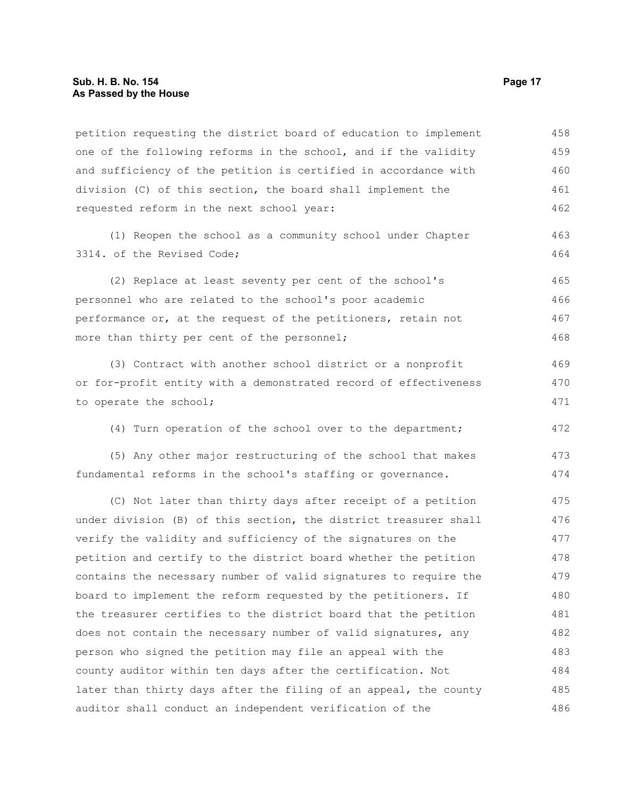petition requesting the district board of education to implement one of the following reforms in the school, and if the validity and sufficiency of the petition is certified in accordance with division (C) of this section, the board shall implement the requested reform in the next school year: 458 459 460 461 462

(1) Reopen the school as a community school under Chapter 3314. of the Revised Code;

(2) Replace at least seventy per cent of the school's personnel who are related to the school's poor academic performance or, at the request of the petitioners, retain not more than thirty per cent of the personnel; 465 466 467 468

(3) Contract with another school district or a nonprofit or for-profit entity with a demonstrated record of effectiveness to operate the school; 469 470 471

(4) Turn operation of the school over to the department; 472

(5) Any other major restructuring of the school that makes fundamental reforms in the school's staffing or governance. 473 474

(C) Not later than thirty days after receipt of a petition under division (B) of this section, the district treasurer shall verify the validity and sufficiency of the signatures on the petition and certify to the district board whether the petition contains the necessary number of valid signatures to require the board to implement the reform requested by the petitioners. If the treasurer certifies to the district board that the petition does not contain the necessary number of valid signatures, any person who signed the petition may file an appeal with the county auditor within ten days after the certification. Not later than thirty days after the filing of an appeal, the county auditor shall conduct an independent verification of the 475 476 477 478 479 480 481 482 483 484 485 486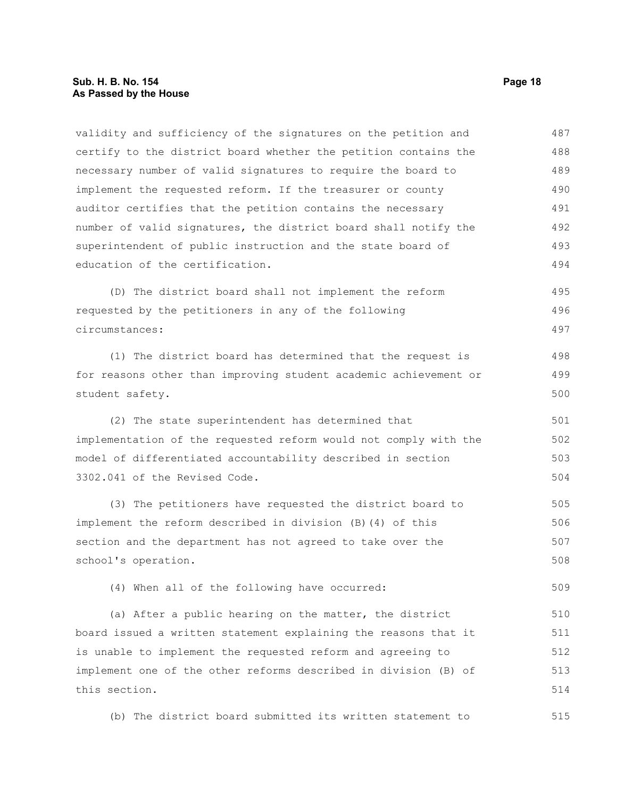validity and sufficiency of the signatures on the petition and certify to the district board whether the petition contains the necessary number of valid signatures to require the board to implement the requested reform. If the treasurer or county auditor certifies that the petition contains the necessary number of valid signatures, the district board shall notify the superintendent of public instruction and the state board of education of the certification. 487 488 489 490 491 492 493 494

(D) The district board shall not implement the reform requested by the petitioners in any of the following circumstances: 495 496 497

(1) The district board has determined that the request is for reasons other than improving student academic achievement or student safety.

(2) The state superintendent has determined that implementation of the requested reform would not comply with the model of differentiated accountability described in section 3302.041 of the Revised Code. 501 502 503 504

(3) The petitioners have requested the district board to implement the reform described in division (B)(4) of this section and the department has not agreed to take over the school's operation. 505 506 507 508

(4) When all of the following have occurred:

(a) After a public hearing on the matter, the district board issued a written statement explaining the reasons that it is unable to implement the requested reform and agreeing to implement one of the other reforms described in division (B) of this section. 510 511 512 513 514

(b) The district board submitted its written statement to 515

498 499 500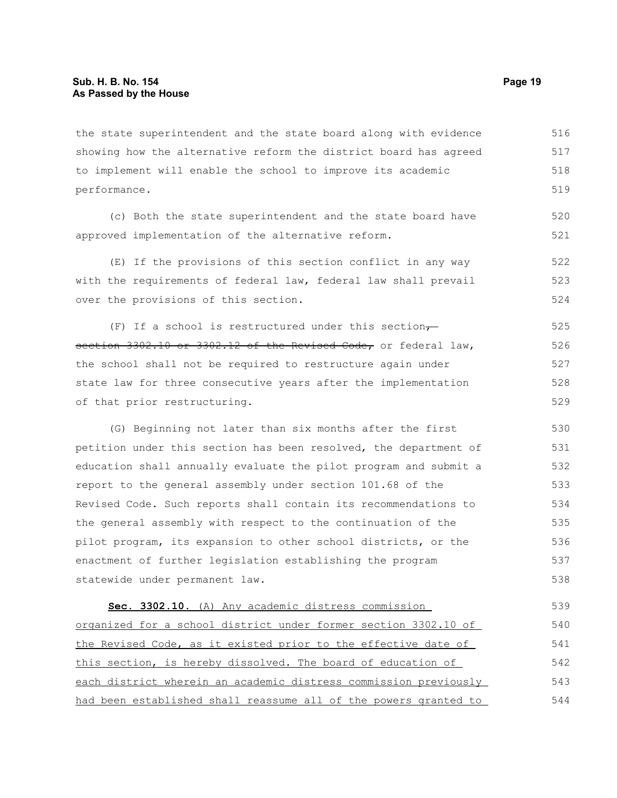the state superintendent and the state board along with evidence showing how the alternative reform the district board has agreed to implement will enable the school to improve its academic performance. 516 517 518 519

(c) Both the state superintendent and the state board have approved implementation of the alternative reform. 520 521

(E) If the provisions of this section conflict in any way with the requirements of federal law, federal law shall prevail over the provisions of this section. 522 523 524

(F) If a school is restructured under this section $\tau$ section 3302.10 or 3302.12 of the Revised Code, or federal law, the school shall not be required to restructure again under state law for three consecutive years after the implementation of that prior restructuring. 525 526 527 528 529

(G) Beginning not later than six months after the first petition under this section has been resolved, the department of education shall annually evaluate the pilot program and submit a report to the general assembly under section 101.68 of the Revised Code. Such reports shall contain its recommendations to the general assembly with respect to the continuation of the pilot program, its expansion to other school districts, or the enactment of further legislation establishing the program statewide under permanent law. 530 531 532 533 534 535 536 537 538

 **Sec. 3302.10.** (A) Any academic distress commission organized for a school district under former section 3302.10 of the Revised Code, as it existed prior to the effective date of this section, is hereby dissolved. The board of education of each district wherein an academic distress commission previously had been established shall reassume all of the powers granted to 539 540 541 542 543 544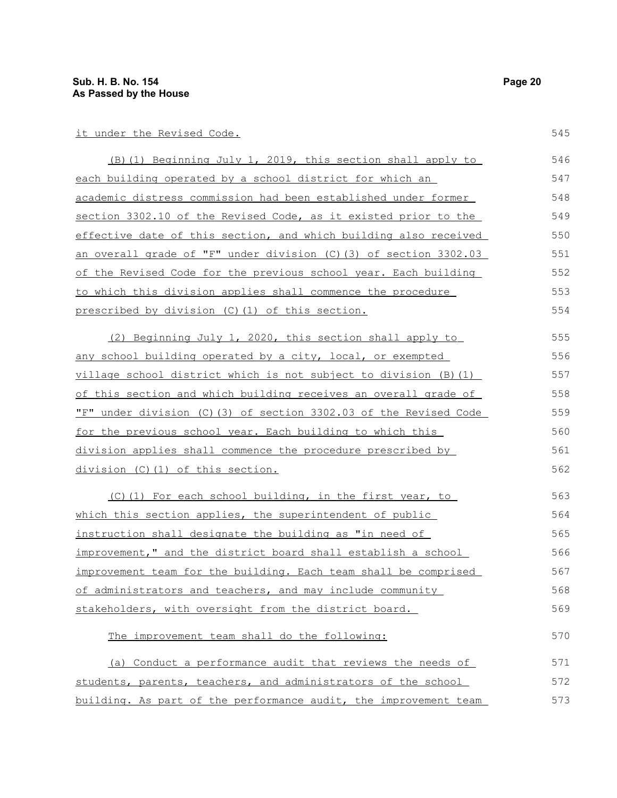it under the Revised Code.

| (B) (1) Beginning July 1, 2019, this section shall apply to       | 546 |
|-------------------------------------------------------------------|-----|
| each building operated by a school district for which an          | 547 |
| academic distress commission had been established under former    | 548 |
| section 3302.10 of the Revised Code, as it existed prior to the   | 549 |
| effective date of this section, and which building also received  | 550 |
| an overall grade of "F" under division (C) (3) of section 3302.03 | 551 |
| of the Revised Code for the previous school year. Each building   | 552 |
| to which this division applies shall commence the procedure       | 553 |
| prescribed by division (C) (1) of this section.                   | 554 |
| (2) Beginning July 1, 2020, this section shall apply to           | 555 |
| any school building operated by a city, local, or exempted        | 556 |
| village school district which is not subject to division (B)(1)   | 557 |
| of this section and which building receives an overall grade of   | 558 |
| "F" under division (C) (3) of section 3302.03 of the Revised Code | 559 |
| for the previous school year. Each building to which this         | 560 |
| division applies shall commence the procedure prescribed by       | 561 |

division (C)(1) of this section.

(C)(1) For each school building, in the first year, to which this section applies, the superintendent of public instruction shall designate the building as "in need of improvement," and the district board shall establish a school improvement team for the building. Each team shall be comprised of administrators and teachers, and may include community stakeholders, with oversight from the district board. 563 564 565 566 567 568 569

The improvement team shall do the following:

| (a) Conduct a performance audit that reviews the needs of        | 571 |
|------------------------------------------------------------------|-----|
| students, parents, teachers, and administrators of the school    | 572 |
| building. As part of the performance audit, the improvement team | 573 |

545

562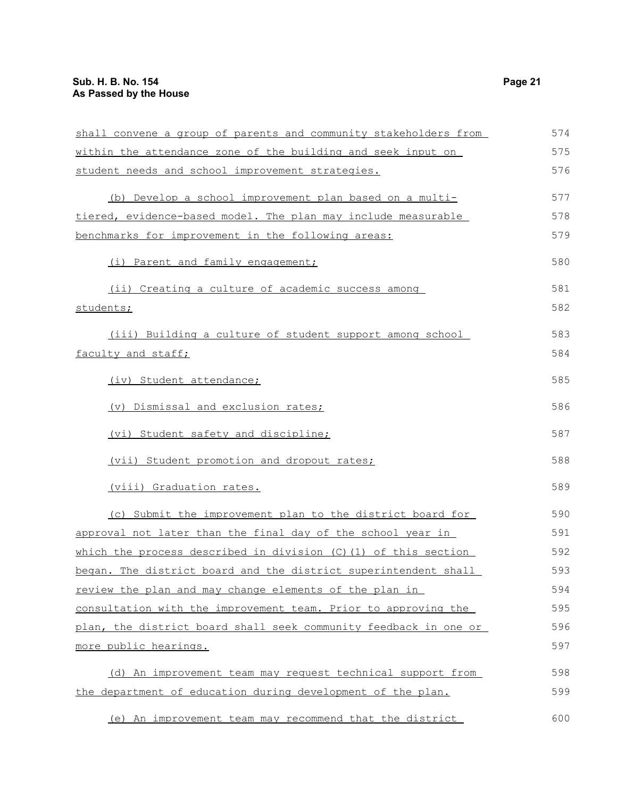| shall convene a group of parents and community stakeholders from | 574 |
|------------------------------------------------------------------|-----|
| within the attendance zone of the building and seek input on     | 575 |
| student needs and school improvement strategies.                 | 576 |
| (b) Develop a school improvement plan based on a multi-          | 577 |
| tiered, evidence-based model. The plan may include measurable    | 578 |
| benchmarks for improvement in the following areas:               | 579 |
| (i) Parent and family engagement;                                | 580 |
| (ii) Creating a culture of academic success among                | 581 |
| students;                                                        | 582 |
| (iii) Building a culture of student support among school         | 583 |
| faculty and staff;                                               | 584 |
| (iv) Student attendance;                                         | 585 |
| (v) Dismissal and exclusion rates;                               | 586 |
| (vi) Student safety and discipline;                              | 587 |
| (vii) Student promotion and dropout rates;                       | 588 |
| (viii) Graduation rates.                                         | 589 |
| (c) Submit the improvement plan to the district board for        | 590 |
| approval not later than the final day of the school year in      | 591 |
| which the process described in division (C) (1) of this section  | 592 |
| began. The district board and the district superintendent shall  | 593 |
| review the plan and may change elements of the plan in           | 594 |
| consultation with the improvement team. Prior to approving the   | 595 |
| plan, the district board shall seek community feedback in one or | 596 |
| more public hearings.                                            | 597 |
| (d) An improvement team may request technical support from       | 598 |
| the department of education during development of the plan.      | 599 |

(e) An improvement team may recommend that the district 600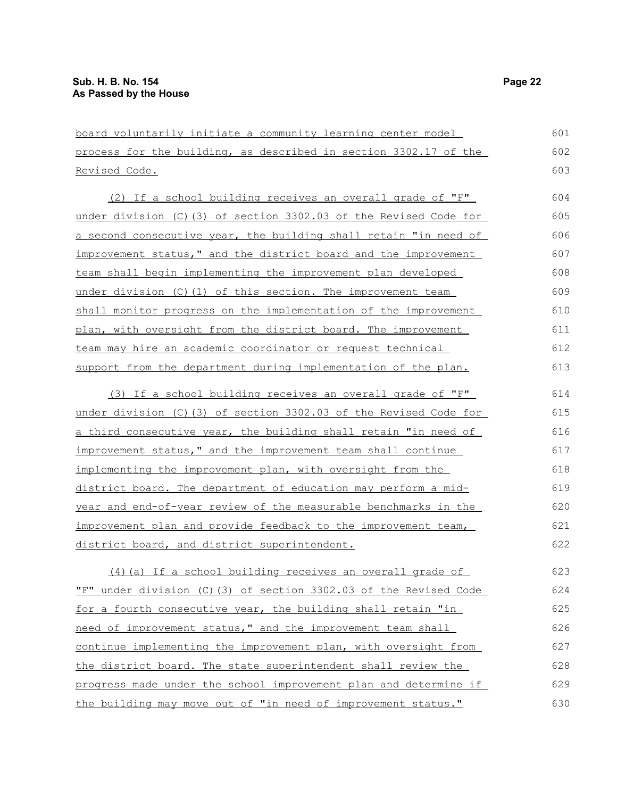board voluntarily initiate a community learning center model process for the building, as described in section 3302.17 of the Revised Code. (2) If a school building receives an overall grade of "F" under division (C)(3) of section 3302.03 of the Revised Code for a second consecutive year, the building shall retain "in need of improvement status," and the district board and the improvement team shall begin implementing the improvement plan developed under division (C)(1) of this section. The improvement team shall monitor progress on the implementation of the improvement plan, with oversight from the district board. The improvement team may hire an academic coordinator or request technical support from the department during implementation of the plan. (3) If a school building receives an overall grade of "F" under division (C)(3) of section 3302.03 of the Revised Code for a third consecutive year, the building shall retain "in need of improvement status," and the improvement team shall continue implementing the improvement plan, with oversight from the district board. The department of education may perform a midyear and end-of-year review of the measurable benchmarks in the improvement plan and provide feedback to the improvement team, district board, and district superintendent. (4)(a) If a school building receives an overall grade of "F" under division (C)(3) of section 3302.03 of the Revised Code for a fourth consecutive year, the building shall retain "in need of improvement status," and the improvement team shall continue implementing the improvement plan, with oversight from the district board. The state superintendent shall review the progress made under the school improvement plan and determine if 601 602 603 604 605 606 607 608 609 610 611 612 613 614 615 616 617 618 619 620 621 622 623 624 625 626 627 628 629

the building may move out of "in need of improvement status."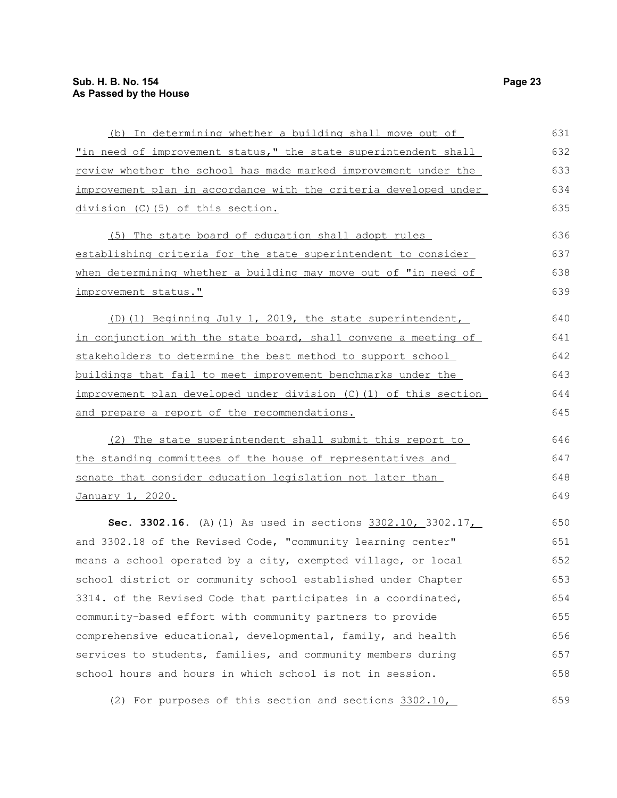| (b) In determining whether a building shall move out of           | 631 |
|-------------------------------------------------------------------|-----|
| "in need of improvement status," the state superintendent shall   | 632 |
| review whether the school has made marked improvement under the   | 633 |
| improvement plan in accordance with the criteria developed under  | 634 |
| division (C)(5) of this section.                                  | 635 |
| (5) The state board of education shall adopt rules                | 636 |
| establishing criteria for the state superintendent to consider    | 637 |
| when determining whether a building may move out of "in need of   | 638 |
| improvement status."                                              | 639 |
| (D)(1) Beginning July 1, 2019, the state superintendent,          | 640 |
| in conjunction with the state board, shall convene a meeting of   | 641 |
| stakeholders to determine the best method to support school       | 642 |
| buildings that fail to meet improvement benchmarks under the      | 643 |
| improvement plan developed under division (C) (1) of this section | 644 |
| and prepare a report of the recommendations.                      | 645 |
| (2) The state superintendent shall submit this report to          | 646 |
| the standing committees of the house of representatives and       | 647 |
| senate that consider education legislation not later than         | 648 |
| January 1, 2020.                                                  | 649 |
| Sec. 3302.16. (A) (1) As used in sections 3302.10, 3302.17,       | 650 |
| and 3302.18 of the Revised Code, "community learning center"      | 651 |
| means a school operated by a city, exempted village, or local     | 652 |
| school district or community school established under Chapter     | 653 |
| 3314. of the Revised Code that participates in a coordinated,     | 654 |
| community-based effort with community partners to provide         | 655 |
| comprehensive educational, developmental, family, and health      | 656 |
| services to students, families, and community members during      | 657 |
| school hours and hours in which school is not in session.         | 658 |
| (2) For purposes of this section and sections 3302.10,            | 659 |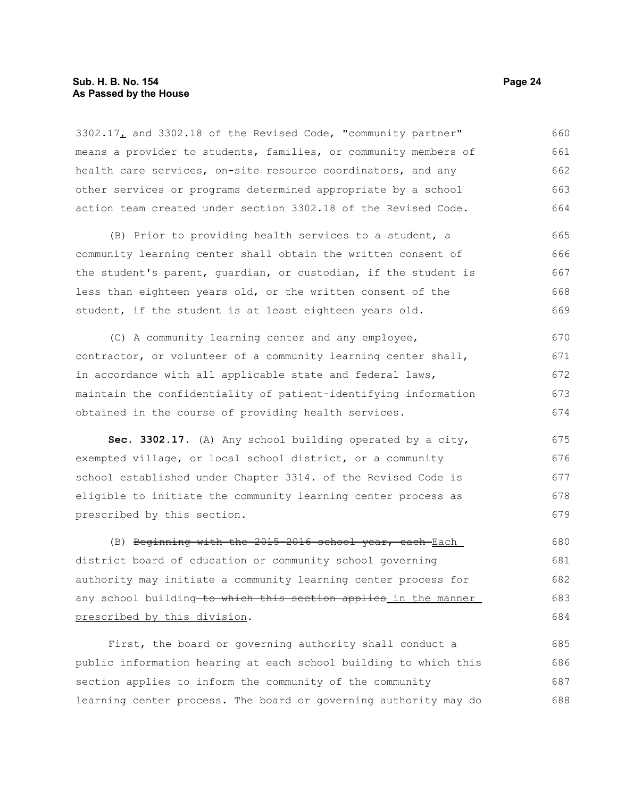3302.17, and 3302.18 of the Revised Code, "community partner" means a provider to students, families, or community members of health care services, on-site resource coordinators, and any other services or programs determined appropriate by a school action team created under section 3302.18 of the Revised Code. 660 661 662 663 664

(B) Prior to providing health services to a student, a community learning center shall obtain the written consent of the student's parent, guardian, or custodian, if the student is less than eighteen years old, or the written consent of the student, if the student is at least eighteen years old. 665 666 667 668 669

(C) A community learning center and any employee, contractor, or volunteer of a community learning center shall, in accordance with all applicable state and federal laws, maintain the confidentiality of patient-identifying information obtained in the course of providing health services. 670 671 672 673 674

**Sec. 3302.17.** (A) Any school building operated by a city, exempted village, or local school district, or a community school established under Chapter 3314. of the Revised Code is eligible to initiate the community learning center process as prescribed by this section. 675 676 677 678 679

(B) Beginning with the 2015-2016 school year, each Each district board of education or community school governing authority may initiate a community learning center process for any school building to which this section applies in the manner prescribed by this division. 680 681 682 683 684

First, the board or governing authority shall conduct a public information hearing at each school building to which this section applies to inform the community of the community learning center process. The board or governing authority may do 685 686 687 688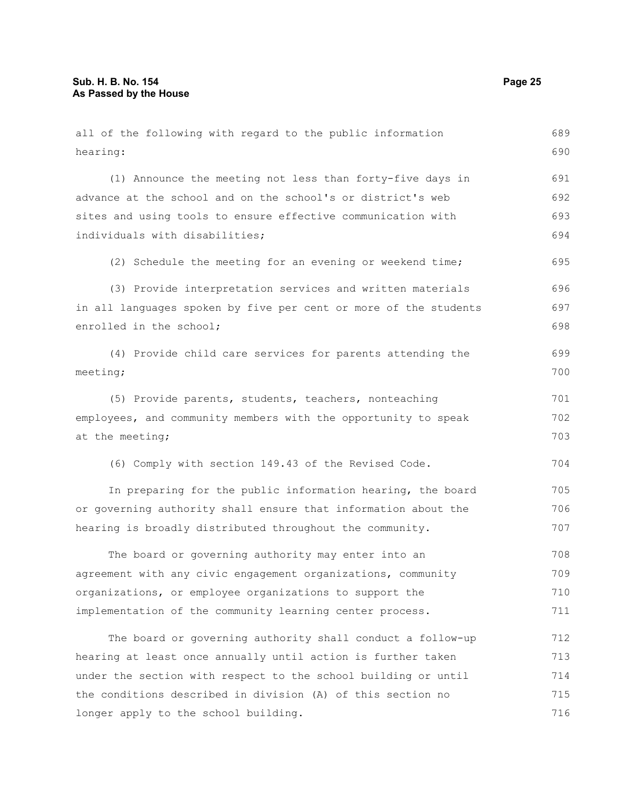longer apply to the school building.

hearing: (1) Announce the meeting not less than forty-five days in advance at the school and on the school's or district's web sites and using tools to ensure effective communication with individuals with disabilities; (2) Schedule the meeting for an evening or weekend time; (3) Provide interpretation services and written materials in all languages spoken by five per cent or more of the students enrolled in the school; (4) Provide child care services for parents attending the meeting; (5) Provide parents, students, teachers, nonteaching employees, and community members with the opportunity to speak at the meeting; (6) Comply with section 149.43 of the Revised Code. In preparing for the public information hearing, the board or governing authority shall ensure that information about the hearing is broadly distributed throughout the community. The board or governing authority may enter into an agreement with any civic engagement organizations, community organizations, or employee organizations to support the implementation of the community learning center process. The board or governing authority shall conduct a follow-up hearing at least once annually until action is further taken under the section with respect to the school building or until the conditions described in division (A) of this section no 690 691 692 693 694 695 696 697 698 699 700 701 702 703 704 705 706 707 708 709 710 711 712 713 714 715

all of the following with regard to the public information

689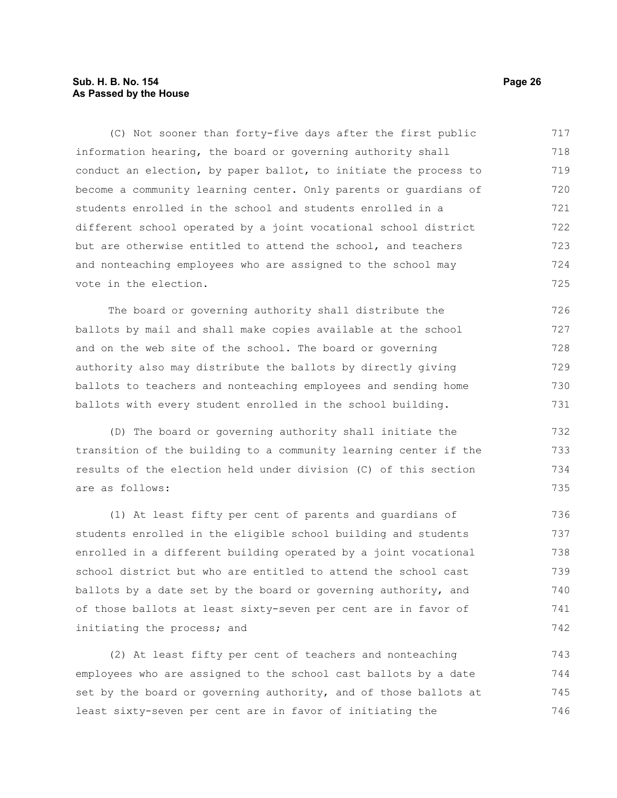# **Sub. H. B. No. 154 Page 26 As Passed by the House**

(C) Not sooner than forty-five days after the first public information hearing, the board or governing authority shall conduct an election, by paper ballot, to initiate the process to become a community learning center. Only parents or guardians of students enrolled in the school and students enrolled in a different school operated by a joint vocational school district but are otherwise entitled to attend the school, and teachers and nonteaching employees who are assigned to the school may vote in the election. 717 718 719 720 721 722 723 724 725

The board or governing authority shall distribute the ballots by mail and shall make copies available at the school and on the web site of the school. The board or governing authority also may distribute the ballots by directly giving ballots to teachers and nonteaching employees and sending home ballots with every student enrolled in the school building. 726 727 728 729 730 731

(D) The board or governing authority shall initiate the transition of the building to a community learning center if the results of the election held under division (C) of this section are as follows:

(1) At least fifty per cent of parents and guardians of students enrolled in the eligible school building and students enrolled in a different building operated by a joint vocational school district but who are entitled to attend the school cast ballots by a date set by the board or governing authority, and of those ballots at least sixty-seven per cent are in favor of initiating the process; and 736 737 738 739 740 741 742

(2) At least fifty per cent of teachers and nonteaching employees who are assigned to the school cast ballots by a date set by the board or governing authority, and of those ballots at least sixty-seven per cent are in favor of initiating the 743 744 745 746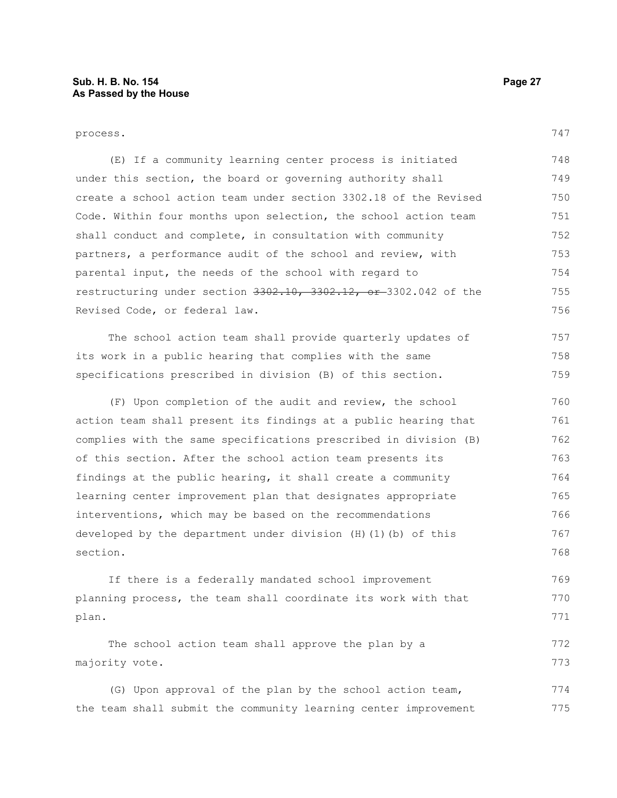| process.                                                         | 747 |
|------------------------------------------------------------------|-----|
| (E) If a community learning center process is initiated          | 748 |
| under this section, the board or governing authority shall       | 749 |
| create a school action team under section 3302.18 of the Revised | 750 |
| Code. Within four months upon selection, the school action team  | 751 |
| shall conduct and complete, in consultation with community       | 752 |
| partners, a performance audit of the school and review, with     | 753 |
| parental input, the needs of the school with regard to           | 754 |
| restructuring under section 3302.10, 3302.12, or 3302.042 of the | 755 |
| Revised Code, or federal law.                                    | 756 |
| The school action team shall provide quarterly updates of        | 757 |
| its work in a public hearing that complies with the same         | 758 |
| specifications prescribed in division (B) of this section.       | 759 |
| (F) Upon completion of the audit and review, the school          | 760 |
| action team shall present its findings at a public hearing that  | 761 |
| complies with the same specifications prescribed in division (B) | 762 |
| of this section. After the school action team presents its       | 763 |
| findings at the public hearing, it shall create a community      | 764 |
| learning center improvement plan that designates appropriate     | 765 |
| interventions, which may be based on the recommendations         | 766 |
| developed by the department under division (H) (1) (b) of this   | 767 |
| section.                                                         | 768 |
| If there is a federally mandated school improvement              | 769 |
| planning process, the team shall coordinate its work with that   | 770 |
| plan.                                                            | 771 |
| The school action team shall approve the plan by a               | 772 |
| majority vote.                                                   | 773 |
| (G) Upon approval of the plan by the school action team,         | 774 |
| the team shall submit the community learning center improvement  | 775 |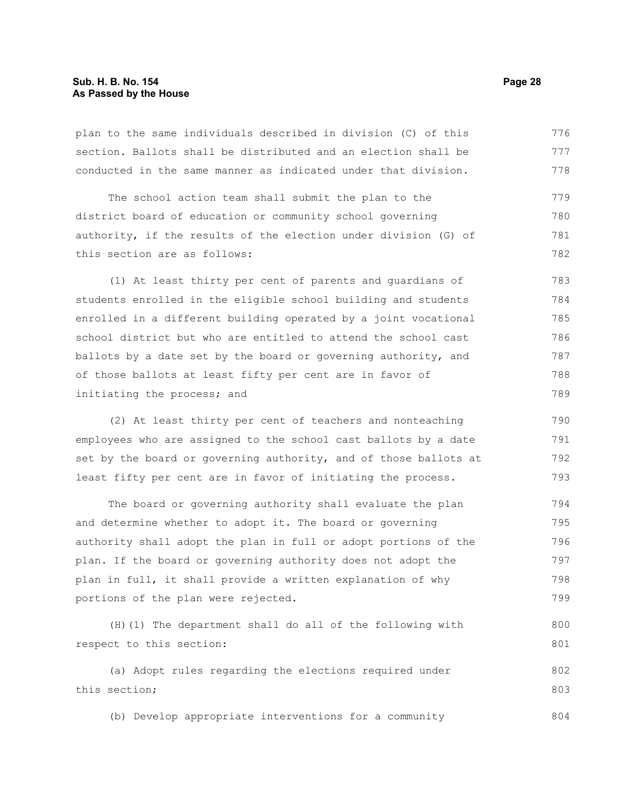plan to the same individuals described in division (C) of this section. Ballots shall be distributed and an election shall be conducted in the same manner as indicated under that division. 776 777 778

The school action team shall submit the plan to the district board of education or community school governing authority, if the results of the election under division (G) of this section are as follows: 779 780 781 782

(1) At least thirty per cent of parents and guardians of students enrolled in the eligible school building and students enrolled in a different building operated by a joint vocational school district but who are entitled to attend the school cast ballots by a date set by the board or governing authority, and of those ballots at least fifty per cent are in favor of initiating the process; and 783 784 785 786 787 788 789

(2) At least thirty per cent of teachers and nonteaching employees who are assigned to the school cast ballots by a date set by the board or governing authority, and of those ballots at least fifty per cent are in favor of initiating the process.

The board or governing authority shall evaluate the plan and determine whether to adopt it. The board or governing authority shall adopt the plan in full or adopt portions of the plan. If the board or governing authority does not adopt the plan in full, it shall provide a written explanation of why portions of the plan were rejected. 794 795 796 797 798 799

(H)(1) The department shall do all of the following with respect to this section: 800 801

(a) Adopt rules regarding the elections required under this section; 802 803

(b) Develop appropriate interventions for a community 804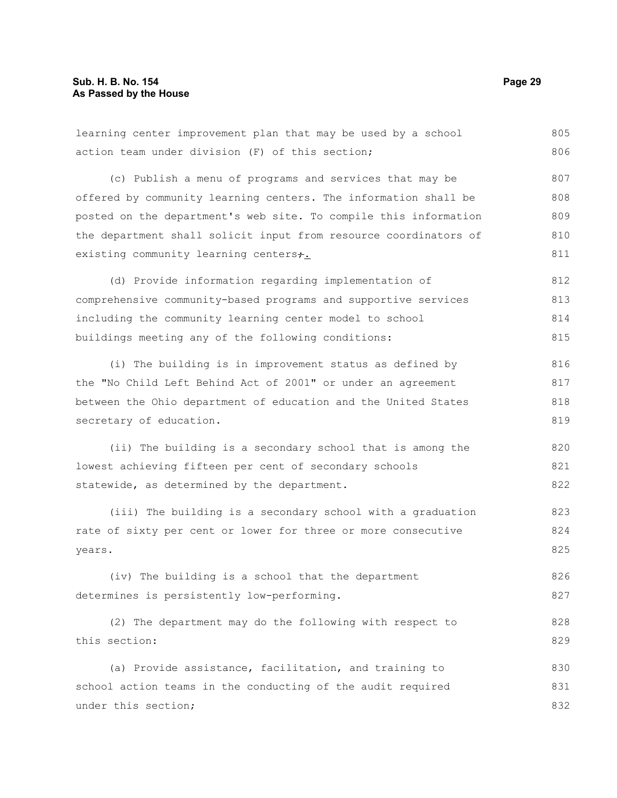learning center improvement plan that may be used by a school action team under division (F) of this section; (c) Publish a menu of programs and services that may be offered by community learning centers. The information shall be posted on the department's web site. To compile this information the department shall solicit input from resource coordinators of existing community learning centers+. (d) Provide information regarding implementation of comprehensive community-based programs and supportive services including the community learning center model to school buildings meeting any of the following conditions: (i) The building is in improvement status as defined by the "No Child Left Behind Act of 2001" or under an agreement between the Ohio department of education and the United States secretary of education. (ii) The building is a secondary school that is among the lowest achieving fifteen per cent of secondary schools statewide, as determined by the department. (iii) The building is a secondary school with a graduation rate of sixty per cent or lower for three or more consecutive years. (iv) The building is a school that the department determines is persistently low-performing. (2) The department may do the following with respect to this section: (a) Provide assistance, facilitation, and training to school action teams in the conducting of the audit required under this section; 805 806 807 808 809 810 811 812 813 814 815 816 817 818 819 820 821 822 823 824 825 826 827 828 829 830 831 832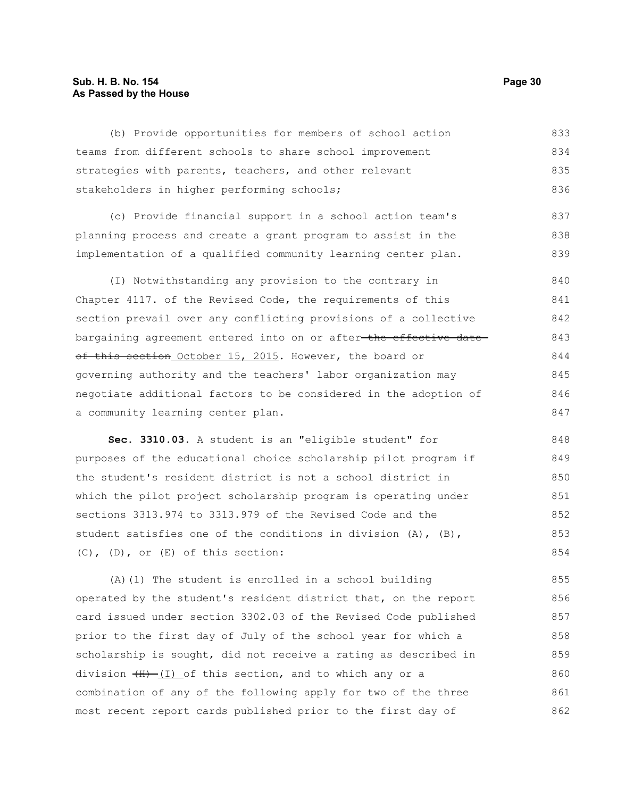#### **Sub. H. B. No. 154 Page 30 As Passed by the House**

(b) Provide opportunities for members of school action teams from different schools to share school improvement strategies with parents, teachers, and other relevant stakeholders in higher performing schools; (c) Provide financial support in a school action team's planning process and create a grant program to assist in the implementation of a qualified community learning center plan. (I) Notwithstanding any provision to the contrary in Chapter 4117. of the Revised Code, the requirements of this section prevail over any conflicting provisions of a collective bargaining agreement entered into on or after-the effective dateof this section October 15, 2015. However, the board or governing authority and the teachers' labor organization may negotiate additional factors to be considered in the adoption of a community learning center plan. 833 834 835 836 837 838 839 840 841 842 843 844 845 846 847 848

**Sec. 3310.03.** A student is an "eligible student" for purposes of the educational choice scholarship pilot program if the student's resident district is not a school district in which the pilot project scholarship program is operating under sections 3313.974 to 3313.979 of the Revised Code and the student satisfies one of the conditions in division (A), (B), (C), (D), or (E) of this section: 849 850 851 852 853 854

(A)(1) The student is enrolled in a school building operated by the student's resident district that, on the report card issued under section 3302.03 of the Revised Code published prior to the first day of July of the school year for which a scholarship is sought, did not receive a rating as described in division  $(H)$  (I) of this section, and to which any or a combination of any of the following apply for two of the three most recent report cards published prior to the first day of 855 856 857 858 859 860 861 862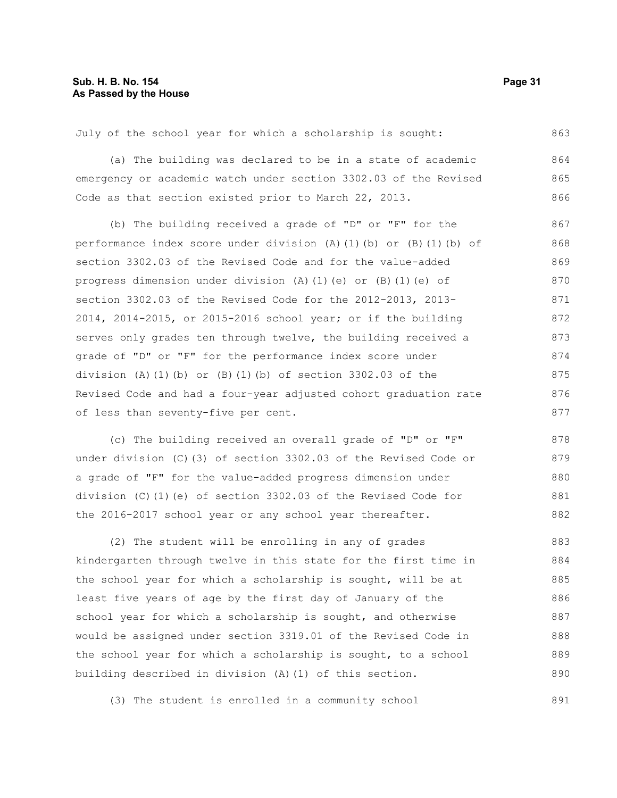July of the school year for which a scholarship is sought: 863

(a) The building was declared to be in a state of academic emergency or academic watch under section 3302.03 of the Revised Code as that section existed prior to March 22, 2013. 864 865 866

(b) The building received a grade of "D" or "F" for the performance index score under division (A)(1)(b) or (B)(1)(b) of section 3302.03 of the Revised Code and for the value-added progress dimension under division (A)(1)(e) or (B)(1)(e) of section 3302.03 of the Revised Code for the 2012-2013, 2013- 2014, 2014-2015, or 2015-2016 school year; or if the building serves only grades ten through twelve, the building received a grade of "D" or "F" for the performance index score under division (A)(1)(b) or (B)(1)(b) of section  $3302.03$  of the Revised Code and had a four-year adjusted cohort graduation rate of less than seventy-five per cent. 867 868 869 870 871 872 873 874 875 876 877

(c) The building received an overall grade of "D" or "F" under division (C)(3) of section 3302.03 of the Revised Code or a grade of "F" for the value-added progress dimension under division (C)(1)(e) of section 3302.03 of the Revised Code for the 2016-2017 school year or any school year thereafter. 878 879 880 881 882

(2) The student will be enrolling in any of grades kindergarten through twelve in this state for the first time in the school year for which a scholarship is sought, will be at least five years of age by the first day of January of the school year for which a scholarship is sought, and otherwise would be assigned under section 3319.01 of the Revised Code in the school year for which a scholarship is sought, to a school building described in division (A)(1) of this section. 883 884 885 886 887 888 889 890

(3) The student is enrolled in a community school 891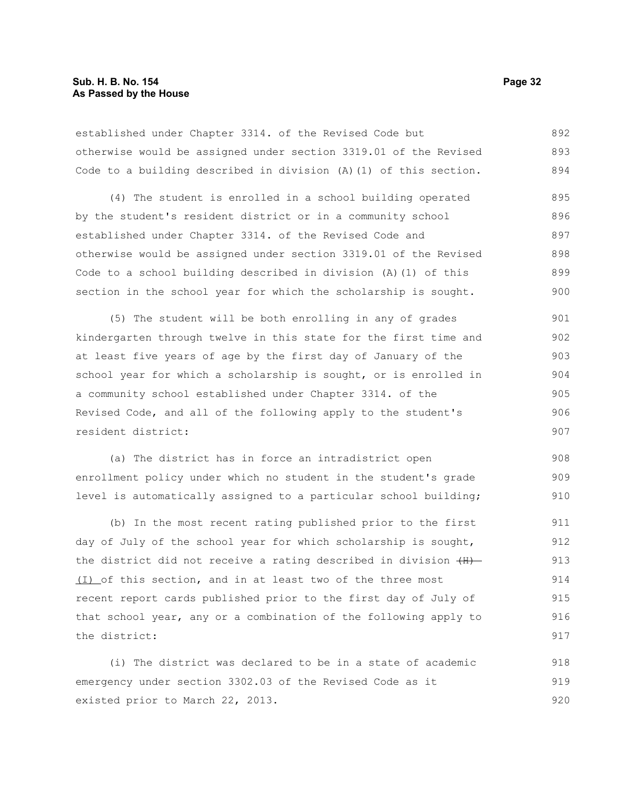established under Chapter 3314. of the Revised Code but otherwise would be assigned under section 3319.01 of the Revised Code to a building described in division (A)(1) of this section. 892 893 894

(4) The student is enrolled in a school building operated by the student's resident district or in a community school established under Chapter 3314. of the Revised Code and otherwise would be assigned under section 3319.01 of the Revised Code to a school building described in division (A)(1) of this section in the school year for which the scholarship is sought. 895 896 897 898 899 900

(5) The student will be both enrolling in any of grades kindergarten through twelve in this state for the first time and at least five years of age by the first day of January of the school year for which a scholarship is sought, or is enrolled in a community school established under Chapter 3314. of the Revised Code, and all of the following apply to the student's resident district: 901 902 903 904 905 906 907

(a) The district has in force an intradistrict open enrollment policy under which no student in the student's grade level is automatically assigned to a particular school building; 908 909 910

(b) In the most recent rating published prior to the first day of July of the school year for which scholarship is sought, the district did not receive a rating described in division  $(H)$  (I) of this section, and in at least two of the three most recent report cards published prior to the first day of July of that school year, any or a combination of the following apply to the district: 911 912 913 914 915 916 917

(i) The district was declared to be in a state of academic emergency under section 3302.03 of the Revised Code as it existed prior to March 22, 2013. 918 919 920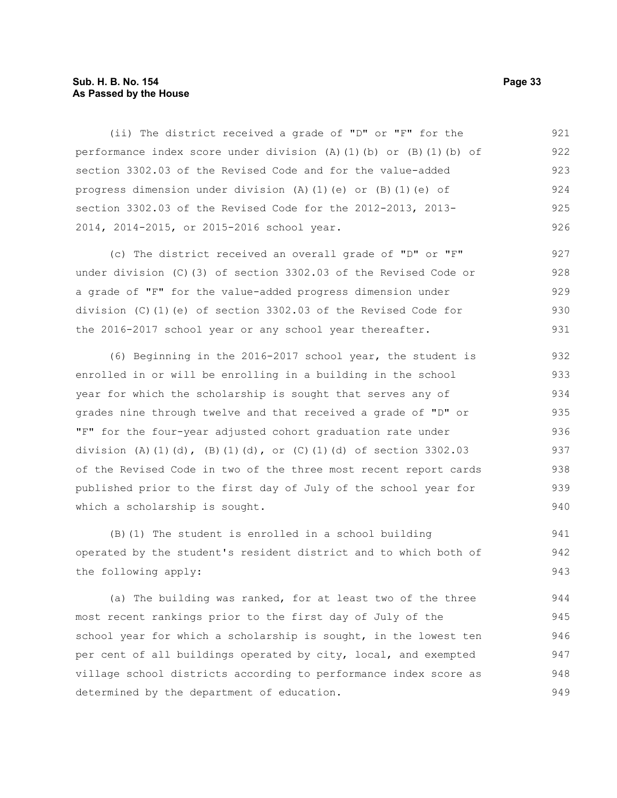#### **Sub. H. B. No. 154 Page 33 As Passed by the House**

(ii) The district received a grade of "D" or "F" for the performance index score under division (A)(1)(b) or (B)(1)(b) of section 3302.03 of the Revised Code and for the value-added progress dimension under division (A)(1)(e) or (B)(1)(e) of section 3302.03 of the Revised Code for the 2012-2013, 2013- 2014, 2014-2015, or 2015-2016 school year. 921 922 923 924 925 926

(c) The district received an overall grade of "D" or "F" under division (C)(3) of section 3302.03 of the Revised Code or a grade of "F" for the value-added progress dimension under division (C)(1)(e) of section 3302.03 of the Revised Code for the 2016-2017 school year or any school year thereafter. 927 928 929 930 931

(6) Beginning in the 2016-2017 school year, the student is enrolled in or will be enrolling in a building in the school year for which the scholarship is sought that serves any of grades nine through twelve and that received a grade of "D" or "F" for the four-year adjusted cohort graduation rate under division (A)(1)(d), (B)(1)(d), or (C)(1)(d) of section  $3302.03$ of the Revised Code in two of the three most recent report cards published prior to the first day of July of the school year for which a scholarship is sought. 932 933 934 935 936 937 938 939 940

(B)(1) The student is enrolled in a school building operated by the student's resident district and to which both of the following apply: 941 942 943

(a) The building was ranked, for at least two of the three most recent rankings prior to the first day of July of the school year for which a scholarship is sought, in the lowest ten per cent of all buildings operated by city, local, and exempted village school districts according to performance index score as determined by the department of education. 944 945 946 947 948 949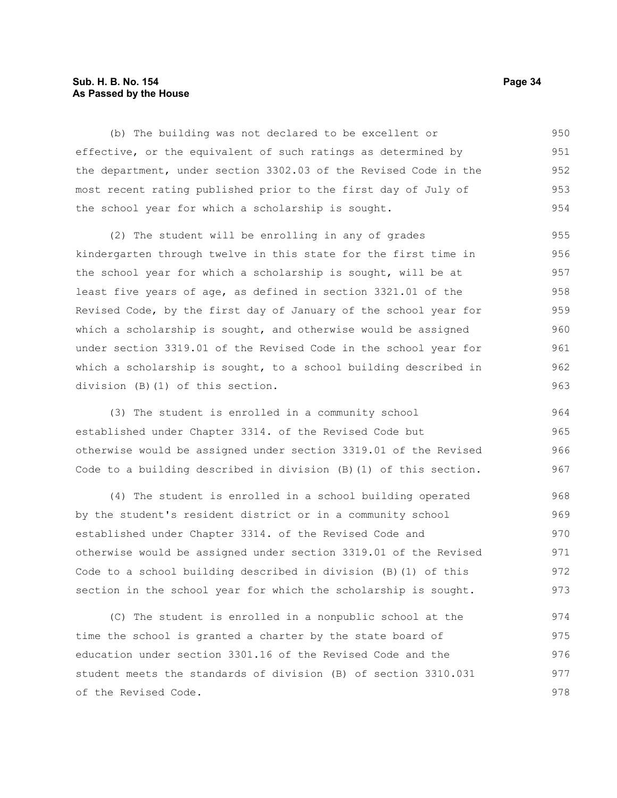# **Sub. H. B. No. 154 Page 34 As Passed by the House**

(b) The building was not declared to be excellent or effective, or the equivalent of such ratings as determined by the department, under section 3302.03 of the Revised Code in the most recent rating published prior to the first day of July of the school year for which a scholarship is sought. 950 951 952 953 954

(2) The student will be enrolling in any of grades kindergarten through twelve in this state for the first time in the school year for which a scholarship is sought, will be at least five years of age, as defined in section 3321.01 of the Revised Code, by the first day of January of the school year for which a scholarship is sought, and otherwise would be assigned under section 3319.01 of the Revised Code in the school year for which a scholarship is sought, to a school building described in division (B)(1) of this section. 955 956 957 958 959 960 961 962 963

(3) The student is enrolled in a community school established under Chapter 3314. of the Revised Code but otherwise would be assigned under section 3319.01 of the Revised Code to a building described in division (B)(1) of this section. 964 965 966 967

(4) The student is enrolled in a school building operated by the student's resident district or in a community school established under Chapter 3314. of the Revised Code and otherwise would be assigned under section 3319.01 of the Revised Code to a school building described in division (B)(1) of this section in the school year for which the scholarship is sought. 968 969 970 971 972 973

(C) The student is enrolled in a nonpublic school at the time the school is granted a charter by the state board of education under section 3301.16 of the Revised Code and the student meets the standards of division (B) of section 3310.031 of the Revised Code. 974 975 976 977 978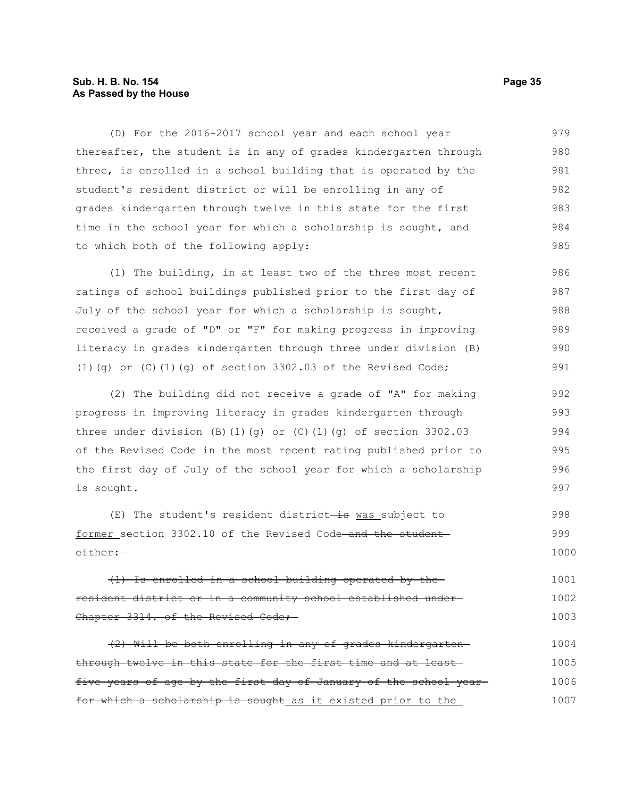# **Sub. H. B. No. 154 Page 35 As Passed by the House**

(D) For the 2016-2017 school year and each school year thereafter, the student is in any of grades kindergarten through three, is enrolled in a school building that is operated by the student's resident district or will be enrolling in any of grades kindergarten through twelve in this state for the first time in the school year for which a scholarship is sought, and to which both of the following apply: 979 980 981 982 983 984 985

(1) The building, in at least two of the three most recent ratings of school buildings published prior to the first day of July of the school year for which a scholarship is sought, received a grade of "D" or "F" for making progress in improving literacy in grades kindergarten through three under division (B) (1)( $q$ ) or (C)(1)( $q$ ) of section 3302.03 of the Revised Code; 986 987 988 989 990 991

(2) The building did not receive a grade of "A" for making progress in improving literacy in grades kindergarten through three under division (B)(1)(q) or (C)(1)(q) of section  $3302.03$ of the Revised Code in the most recent rating published prior to the first day of July of the school year for which a scholarship is sought. 992 993 994 995 996 997

 $(E)$  The student's resident district-is was subject to former section 3302.10 of the Revised Code-and the studenteither: 998 999 1000

(1) Is enrolled in a school building operated by the resident district or in a community school established under Chapter 3314. of the Revised Code; 1001 1002 1003

(2) Will be both enrolling in any of grades kindergarten through twelve in this state for the first time and at least five years of age by the first day of January of the school year for which a scholarship is sought as it existed prior to the 1004 1005 1006 1007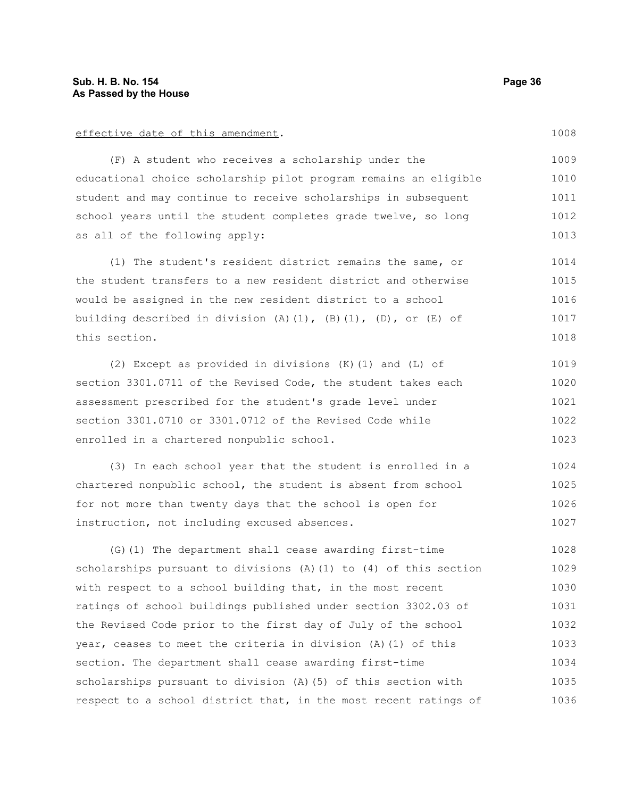#### effective date of this amendment.

(F) A student who receives a scholarship under the educational choice scholarship pilot program remains an eligible student and may continue to receive scholarships in subsequent school years until the student completes grade twelve, so long as all of the following apply:

(1) The student's resident district remains the same, or the student transfers to a new resident district and otherwise would be assigned in the new resident district to a school building described in division  $(A)$   $(1)$ ,  $(B)$   $(1)$ ,  $(D)$ , or  $(E)$  of this section. 1014 1015 1016 1017 1018

(2) Except as provided in divisions (K)(1) and (L) of section 3301.0711 of the Revised Code, the student takes each assessment prescribed for the student's grade level under section 3301.0710 or 3301.0712 of the Revised Code while enrolled in a chartered nonpublic school. 1019 1020 1021 1022 1023

(3) In each school year that the student is enrolled in a chartered nonpublic school, the student is absent from school for not more than twenty days that the school is open for instruction, not including excused absences. 1024 1025 1026 1027

(G)(1) The department shall cease awarding first-time scholarships pursuant to divisions  $(A)$  (1) to  $(4)$  of this section with respect to a school building that, in the most recent ratings of school buildings published under section 3302.03 of the Revised Code prior to the first day of July of the school year, ceases to meet the criteria in division (A)(1) of this section. The department shall cease awarding first-time scholarships pursuant to division (A)(5) of this section with respect to a school district that, in the most recent ratings of 1028 1029 1030 1031 1032 1033 1034 1035 1036

1008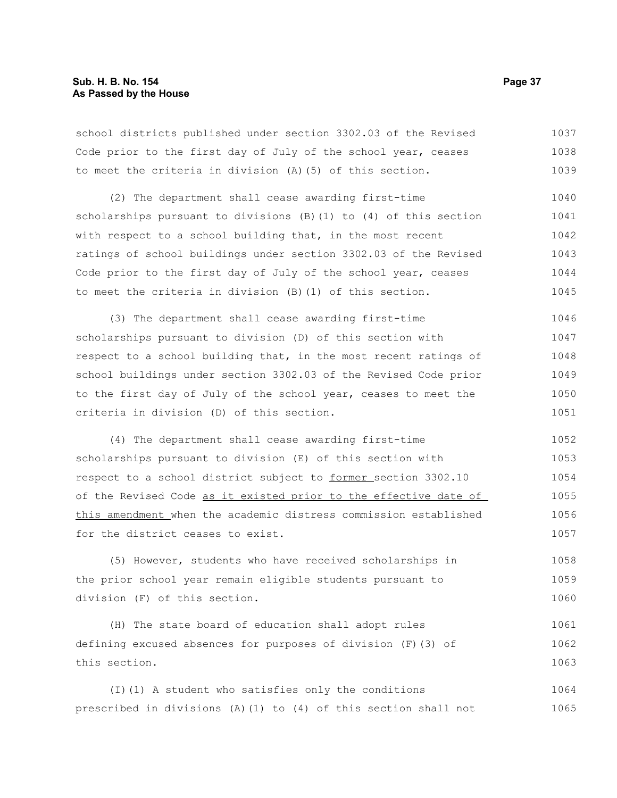school districts published under section 3302.03 of the Revised Code prior to the first day of July of the school year, ceases to meet the criteria in division (A)(5) of this section. 1037 1038 1039

(2) The department shall cease awarding first-time scholarships pursuant to divisions (B)(1) to (4) of this section with respect to a school building that, in the most recent ratings of school buildings under section 3302.03 of the Revised Code prior to the first day of July of the school year, ceases to meet the criteria in division (B)(1) of this section. 1040 1041 1042 1043 1044 1045

(3) The department shall cease awarding first-time scholarships pursuant to division (D) of this section with respect to a school building that, in the most recent ratings of school buildings under section 3302.03 of the Revised Code prior to the first day of July of the school year, ceases to meet the criteria in division (D) of this section. 1046 1047 1048 1049 1050 1051

(4) The department shall cease awarding first-time scholarships pursuant to division (E) of this section with respect to a school district subject to former\_section 3302.10 of the Revised Code as it existed prior to the effective date of this amendment when the academic distress commission established for the district ceases to exist. 1052 1053 1054 1055 1056 1057

(5) However, students who have received scholarships in the prior school year remain eligible students pursuant to division (F) of this section. 1058 1059 1060

(H) The state board of education shall adopt rules defining excused absences for purposes of division (F)(3) of this section. 1061 1062 1063

(I)(1) A student who satisfies only the conditions prescribed in divisions (A)(1) to (4) of this section shall not 1064 1065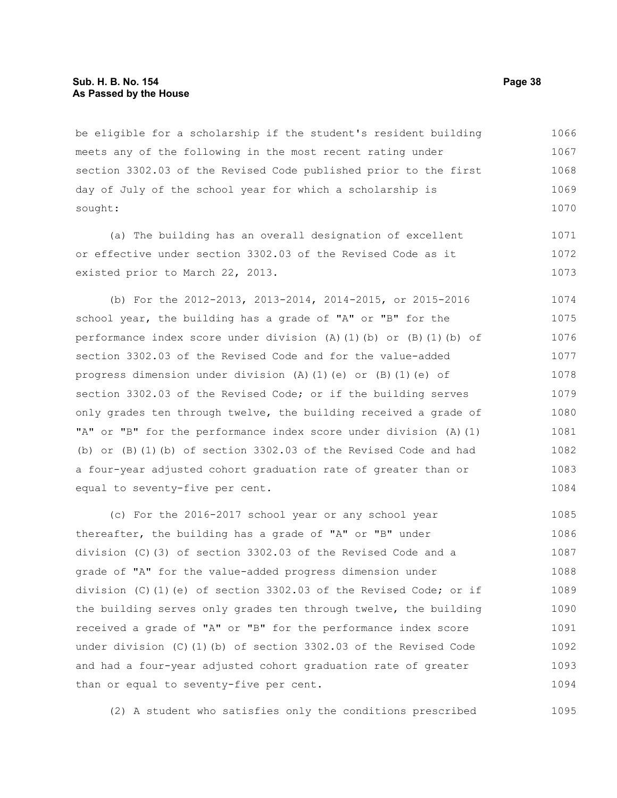#### **Sub. H. B. No. 154 Page 38 As Passed by the House**

be eligible for a scholarship if the student's resident building meets any of the following in the most recent rating under section 3302.03 of the Revised Code published prior to the first day of July of the school year for which a scholarship is sought: 1066 1067 1068 1069 1070

(a) The building has an overall designation of excellent or effective under section 3302.03 of the Revised Code as it existed prior to March 22, 2013. 1071 1072 1073

(b) For the 2012-2013, 2013-2014, 2014-2015, or 2015-2016 school year, the building has a grade of "A" or "B" for the performance index score under division (A)(1)(b) or (B)(1)(b) of section 3302.03 of the Revised Code and for the value-added progress dimension under division (A)(1)(e) or (B)(1)(e) of section 3302.03 of the Revised Code; or if the building serves only grades ten through twelve, the building received a grade of "A" or "B" for the performance index score under division (A)(1) (b) or (B)(1)(b) of section 3302.03 of the Revised Code and had a four-year adjusted cohort graduation rate of greater than or equal to seventy-five per cent. 1074 1075 1076 1077 1078 1079 1080 1081 1082 1083 1084

(c) For the 2016-2017 school year or any school year thereafter, the building has a grade of "A" or "B" under division (C)(3) of section 3302.03 of the Revised Code and a grade of "A" for the value-added progress dimension under division (C)(1)(e) of section 3302.03 of the Revised Code; or if the building serves only grades ten through twelve, the building received a grade of "A" or "B" for the performance index score under division (C)(1)(b) of section 3302.03 of the Revised Code and had a four-year adjusted cohort graduation rate of greater than or equal to seventy-five per cent. 1085 1086 1087 1088 1089 1090 1091 1092 1093 1094

(2) A student who satisfies only the conditions prescribed 1095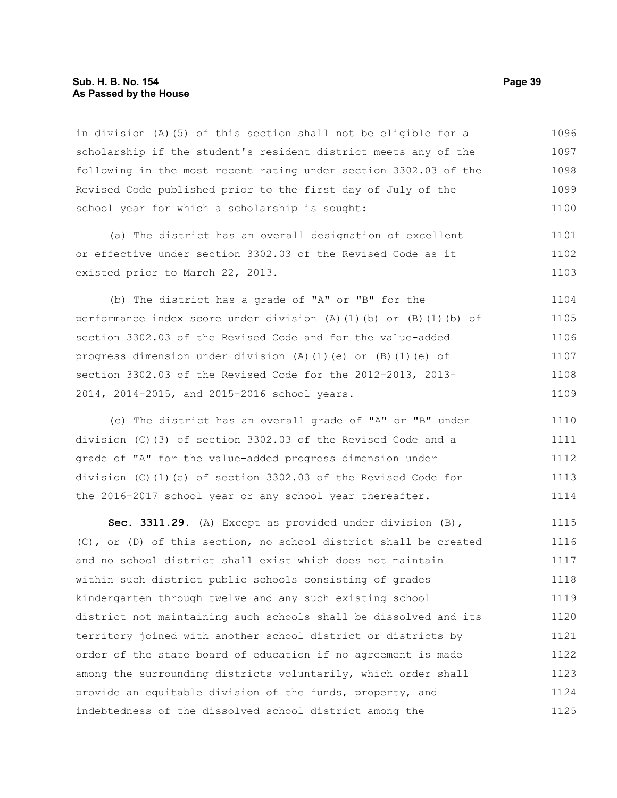#### **Sub. H. B. No. 154 Page 39 As Passed by the House**

in division (A)(5) of this section shall not be eligible for a scholarship if the student's resident district meets any of the following in the most recent rating under section 3302.03 of the Revised Code published prior to the first day of July of the school year for which a scholarship is sought: 1096 1097 1098 1099 1100

(a) The district has an overall designation of excellent or effective under section 3302.03 of the Revised Code as it existed prior to March 22, 2013. 1101 1102 1103

(b) The district has a grade of "A" or "B" for the performance index score under division (A)(1)(b) or (B)(1)(b) of section 3302.03 of the Revised Code and for the value-added progress dimension under division (A)(1)(e) or (B)(1)(e) of section 3302.03 of the Revised Code for the 2012-2013, 2013- 2014, 2014-2015, and 2015-2016 school years. 1104 1105 1106 1107 1108 1109

(c) The district has an overall grade of "A" or "B" under division (C)(3) of section 3302.03 of the Revised Code and a grade of "A" for the value-added progress dimension under division (C)(1)(e) of section 3302.03 of the Revised Code for the 2016-2017 school year or any school year thereafter. 1110 1111 1112 1113 1114

**Sec. 3311.29.** (A) Except as provided under division (B), (C), or (D) of this section, no school district shall be created and no school district shall exist which does not maintain within such district public schools consisting of grades kindergarten through twelve and any such existing school district not maintaining such schools shall be dissolved and its territory joined with another school district or districts by order of the state board of education if no agreement is made among the surrounding districts voluntarily, which order shall provide an equitable division of the funds, property, and indebtedness of the dissolved school district among the 1115 1116 1117 1118 1119 1120 1121 1122 1123 1124 1125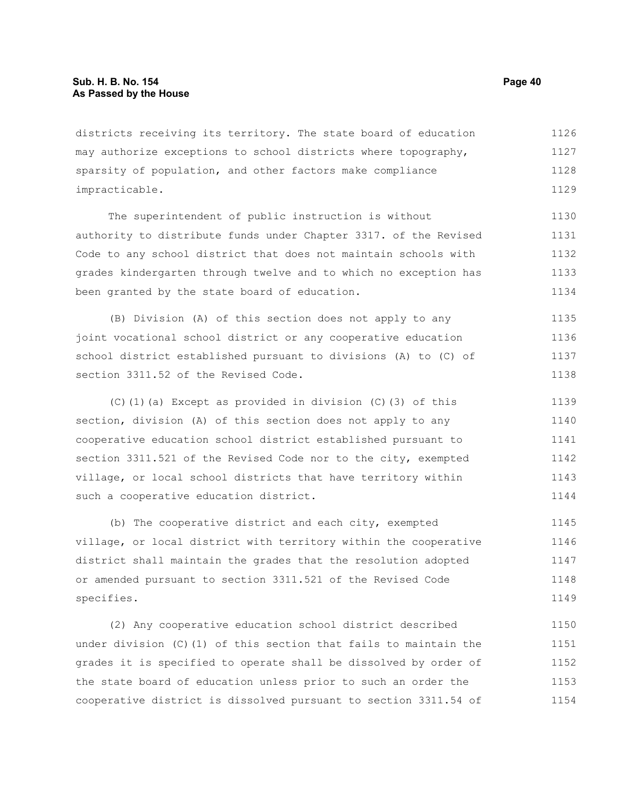districts receiving its territory. The state board of education may authorize exceptions to school districts where topography, sparsity of population, and other factors make compliance impracticable. 1126 1127 1128 1129

The superintendent of public instruction is without authority to distribute funds under Chapter 3317. of the Revised Code to any school district that does not maintain schools with grades kindergarten through twelve and to which no exception has been granted by the state board of education. 1130 1131 1132 1133 1134

(B) Division (A) of this section does not apply to any joint vocational school district or any cooperative education school district established pursuant to divisions (A) to (C) of section 3311.52 of the Revised Code. 1135 1136 1137 1138

(C)(1)(a) Except as provided in division (C)(3) of this section, division (A) of this section does not apply to any cooperative education school district established pursuant to section 3311.521 of the Revised Code nor to the city, exempted village, or local school districts that have territory within such a cooperative education district. 1139 1140 1141 1142 1143 1144

(b) The cooperative district and each city, exempted village, or local district with territory within the cooperative district shall maintain the grades that the resolution adopted or amended pursuant to section 3311.521 of the Revised Code specifies. 1145 1146 1147 1148 1149

(2) Any cooperative education school district described under division (C)(1) of this section that fails to maintain the grades it is specified to operate shall be dissolved by order of the state board of education unless prior to such an order the cooperative district is dissolved pursuant to section 3311.54 of 1150 1151 1152 1153 1154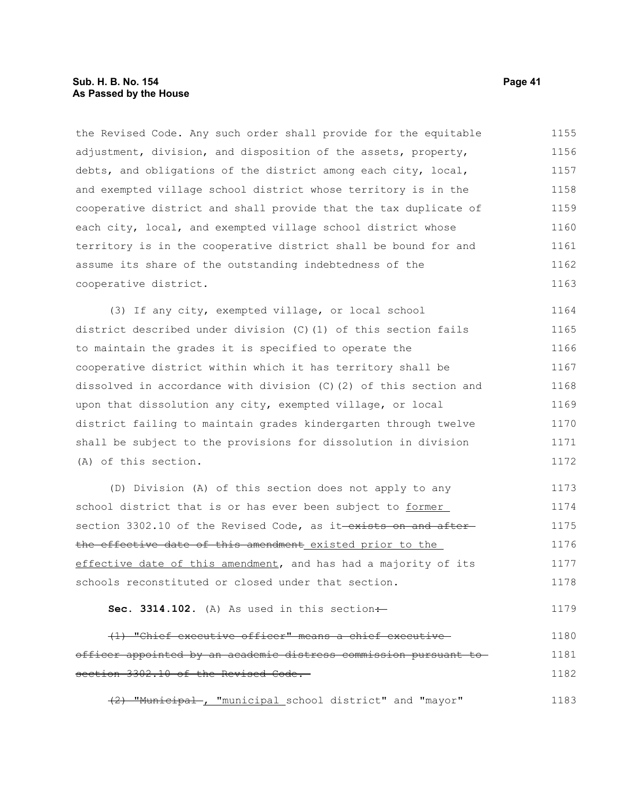#### **Sub. H. B. No. 154 Page 41 As Passed by the House**

the Revised Code. Any such order shall provide for the equitable adjustment, division, and disposition of the assets, property, debts, and obligations of the district among each city, local, and exempted village school district whose territory is in the cooperative district and shall provide that the tax duplicate of each city, local, and exempted village school district whose territory is in the cooperative district shall be bound for and assume its share of the outstanding indebtedness of the cooperative district. 1155 1156 1157 1158 1159 1160 1161 1162 1163

(3) If any city, exempted village, or local school district described under division (C)(1) of this section fails to maintain the grades it is specified to operate the cooperative district within which it has territory shall be dissolved in accordance with division (C)(2) of this section and upon that dissolution any city, exempted village, or local district failing to maintain grades kindergarten through twelve shall be subject to the provisions for dissolution in division (A) of this section. 1164 1165 1166 1167 1168 1169 1170 1171 1172

(D) Division (A) of this section does not apply to any school district that is or has ever been subject to former section 3302.10 of the Revised Code, as it exists on and afterthe effective date of this amendment existed prior to the effective date of this amendment, and has had a majority of its schools reconstituted or closed under that section. 1173 1174 1175 1176 1177 1178

**Sec. 3314.102.** (A) As used in this section $\div$ 1179

(1) "Chief executive officer" means a chief executive officer appointed by an academic distress commission pursuant to section 3302.10 of the Revised Code. 1180 1181 1182

(2) "Municipal , "municipal school district" and "mayor" 1183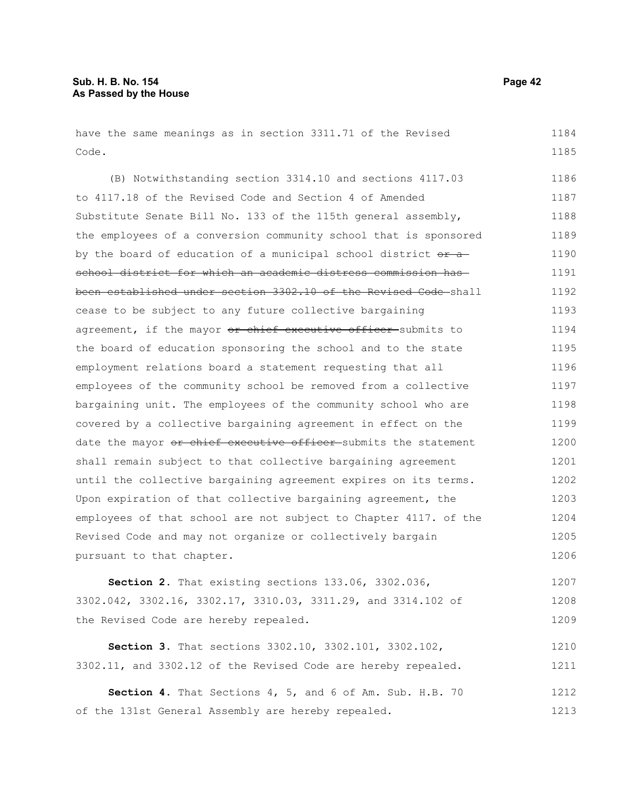have the same meanings as in section 3311.71 of the Revised Code.

(B) Notwithstanding section 3314.10 and sections 4117.03 to 4117.18 of the Revised Code and Section 4 of Amended Substitute Senate Bill No. 133 of the 115th general assembly, the employees of a conversion community school that is sponsored by the board of education of a municipal school district  $e^{i\theta}$ school district for which an academic distress commission has been established under section 3302.10 of the Revised Code shall cease to be subject to any future collective bargaining agreement, if the mayor or chief executive officer submits to the board of education sponsoring the school and to the state employment relations board a statement requesting that all employees of the community school be removed from a collective bargaining unit. The employees of the community school who are covered by a collective bargaining agreement in effect on the date the mayor or chief executive officer submits the statement shall remain subject to that collective bargaining agreement until the collective bargaining agreement expires on its terms. Upon expiration of that collective bargaining agreement, the employees of that school are not subject to Chapter 4117. of the Revised Code and may not organize or collectively bargain pursuant to that chapter. 1186 1187 1188 1189 1190 1191 1192 1193 1194 1195 1196 1197 1198 1199 1200 1201 1202 1203 1204 1205 1206

**Section 2.** That existing sections 133.06, 3302.036, 3302.042, 3302.16, 3302.17, 3310.03, 3311.29, and 3314.102 of the Revised Code are hereby repealed. 1207 1208 1209

**Section 3.** That sections 3302.10, 3302.101, 3302.102, 3302.11, and 3302.12 of the Revised Code are hereby repealed. 1210 1211

**Section 4.** That Sections 4, 5, and 6 of Am. Sub. H.B. 70 of the 131st General Assembly are hereby repealed. 1212 1213